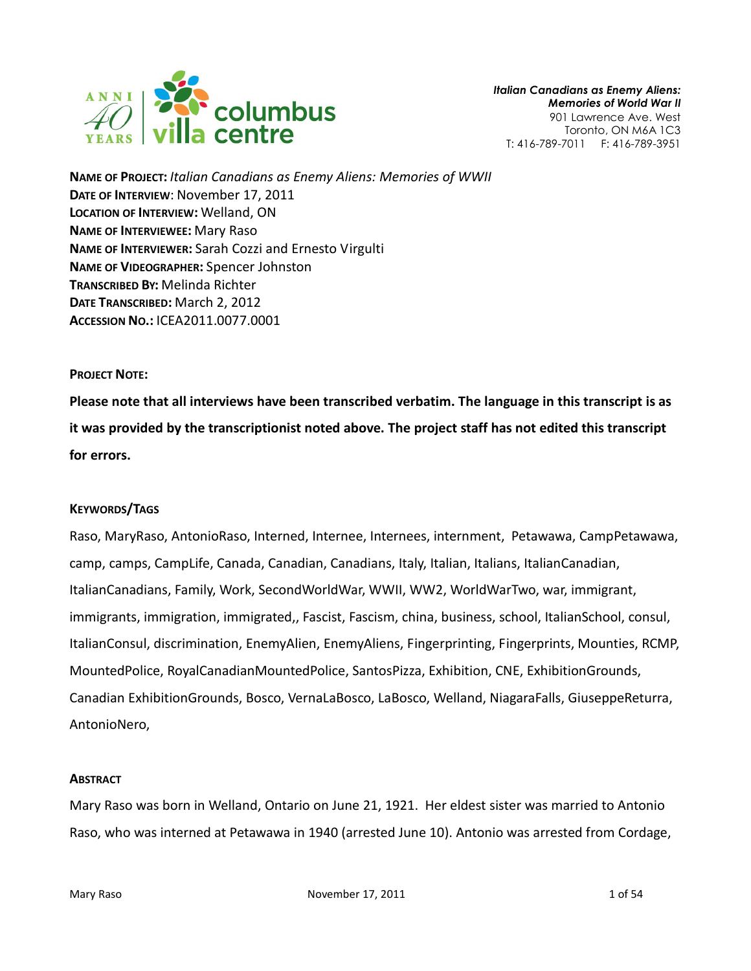

NAME OF PROJECT: Italian Canadians as Enemy Aliens: Memories of WWII DATE OF INTERVIEW: November 17, 2011 LOCATION OF INTERVIEW: Welland, ON NAME OF INTERVIEWEE: Mary Raso NAME OF INTERVIEWER: Sarah Cozzi and Ernesto Virgulti NAME OF VIDEOGRAPHER: Spencer Johnston TRANSCRIBED BY: Melinda Richter DATE TRANSCRIBED: March 2, 2012 ACCESSION NO.: ICEA2011.0077.0001

### PROJECT NOTE:

Please note that all interviews have been transcribed verbatim. The language in this transcript is as it was provided by the transcriptionist noted above. The project staff has not edited this transcript for errors.

# KEYWORDS/TAGS

Raso, MaryRaso, AntonioRaso, Interned, Internee, Internees, internment, Petawawa, CampPetawawa, camp, camps, CampLife, Canada, Canadian, Canadians, Italy, Italian, Italians, ItalianCanadian, ItalianCanadians, Family, Work, SecondWorldWar, WWII, WW2, WorldWarTwo, war, immigrant, immigrants, immigration, immigrated,, Fascist, Fascism, china, business, school, ItalianSchool, consul, ItalianConsul, discrimination, EnemyAlien, EnemyAliens, Fingerprinting, Fingerprints, Mounties, RCMP, MountedPolice, RoyalCanadianMountedPolice, SantosPizza, Exhibition, CNE, ExhibitionGrounds, Canadian ExhibitionGrounds, Bosco, VernaLaBosco, LaBosco, Welland, NiagaraFalls, GiuseppeReturra, AntonioNero,

### **ABSTRACT**

Mary Raso was born in Welland, Ontario on June 21, 1921. Her eldest sister was married to Antonio Raso, who was interned at Petawawa in 1940 (arrested June 10). Antonio was arrested from Cordage,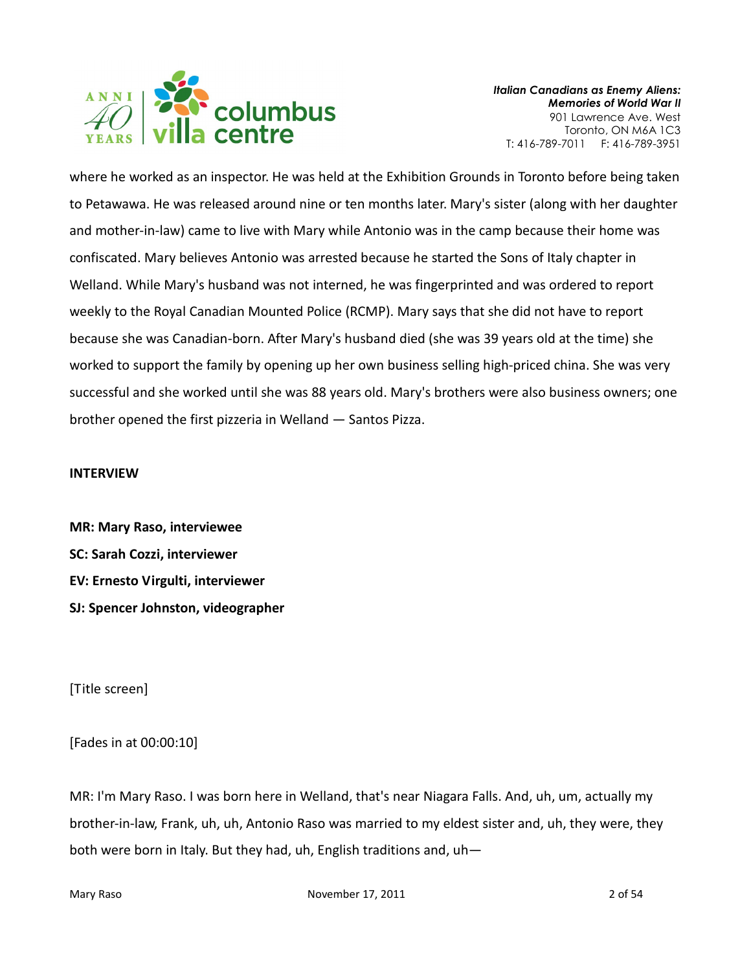

where he worked as an inspector. He was held at the Exhibition Grounds in Toronto before being taken to Petawawa. He was released around nine or ten months later. Mary's sister (along with her daughter and mother-in-law) came to live with Mary while Antonio was in the camp because their home was confiscated. Mary believes Antonio was arrested because he started the Sons of Italy chapter in Welland. While Mary's husband was not interned, he was fingerprinted and was ordered to report weekly to the Royal Canadian Mounted Police (RCMP). Mary says that she did not have to report because she was Canadian-born. After Mary's husband died (she was 39 years old at the time) she worked to support the family by opening up her own business selling high-priced china. She was very successful and she worked until she was 88 years old. Mary's brothers were also business owners; one brother opened the first pizzeria in Welland ― Santos Pizza.

### INTERVIEW

MR: Mary Raso, interviewee SC: Sarah Cozzi, interviewer EV: Ernesto Virgulti, interviewer SJ: Spencer Johnston, videographer

[Title screen]

# [Fades in at 00:00:10]

MR: I'm Mary Raso. I was born here in Welland, that's near Niagara Falls. And, uh, um, actually my brother-in-law, Frank, uh, uh, Antonio Raso was married to my eldest sister and, uh, they were, they both were born in Italy. But they had, uh, English traditions and, uh—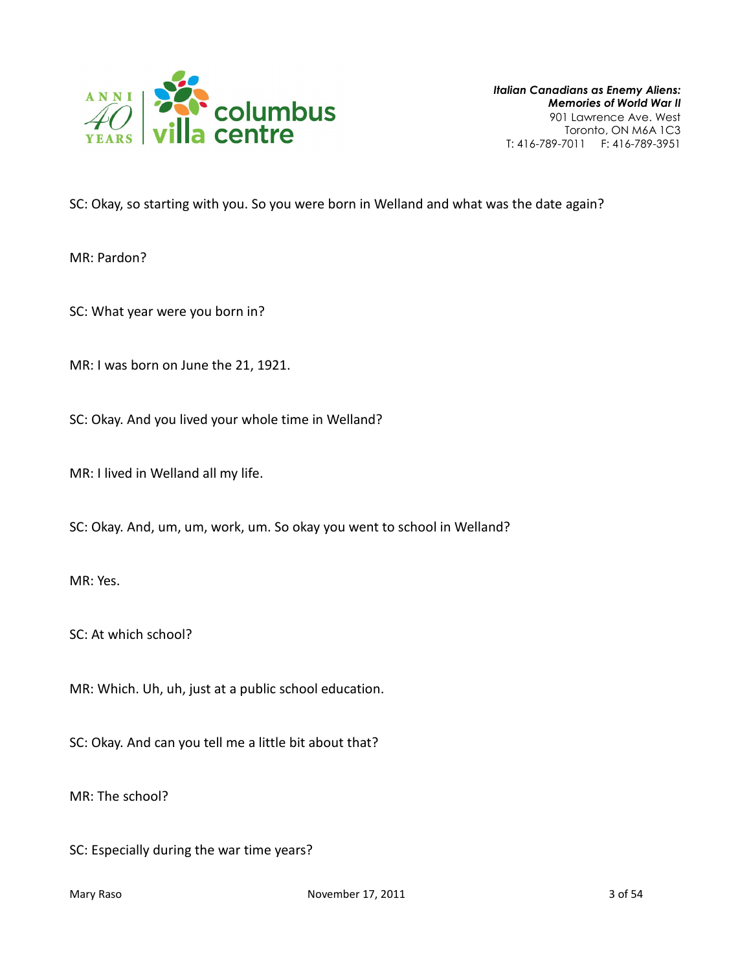

SC: Okay, so starting with you. So you were born in Welland and what was the date again?

MR: Pardon?

SC: What year were you born in?

MR: I was born on June the 21, 1921.

SC: Okay. And you lived your whole time in Welland?

MR: I lived in Welland all my life.

SC: Okay. And, um, um, work, um. So okay you went to school in Welland?

MR: Yes.

SC: At which school?

MR: Which. Uh, uh, just at a public school education.

SC: Okay. And can you tell me a little bit about that?

MR: The school?

SC: Especially during the war time years?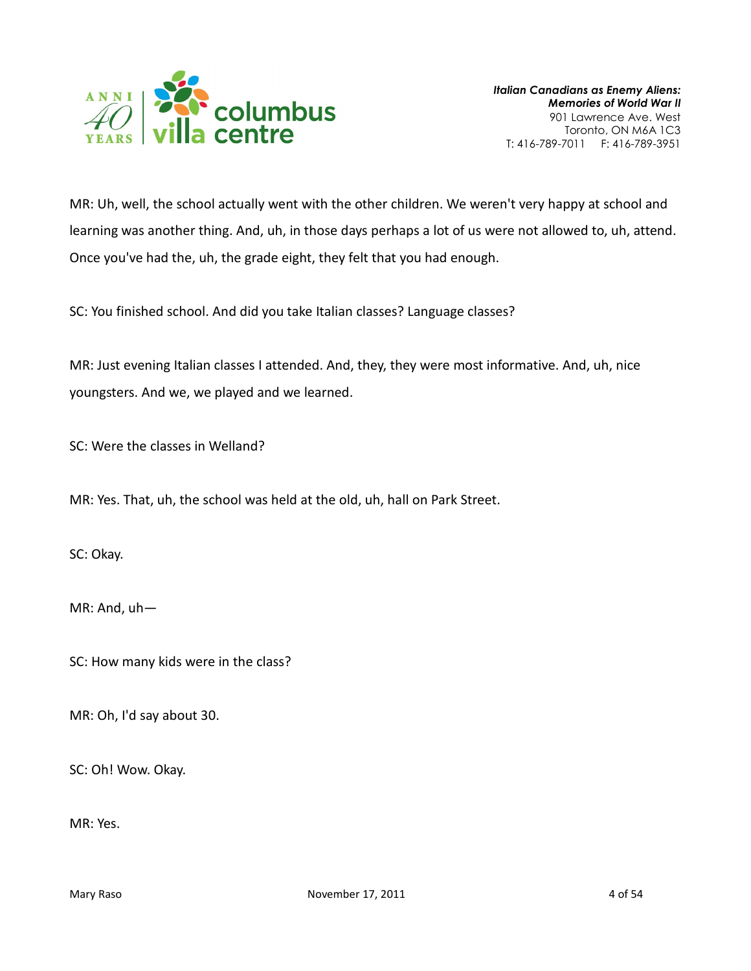

MR: Uh, well, the school actually went with the other children. We weren't very happy at school and learning was another thing. And, uh, in those days perhaps a lot of us were not allowed to, uh, attend. Once you've had the, uh, the grade eight, they felt that you had enough.

SC: You finished school. And did you take Italian classes? Language classes?

MR: Just evening Italian classes I attended. And, they, they were most informative. And, uh, nice youngsters. And we, we played and we learned.

SC: Were the classes in Welland?

MR: Yes. That, uh, the school was held at the old, uh, hall on Park Street.

SC: Okay.

MR: And, uh—

SC: How many kids were in the class?

MR: Oh, I'd say about 30.

SC: Oh! Wow. Okay.

MR: Yes.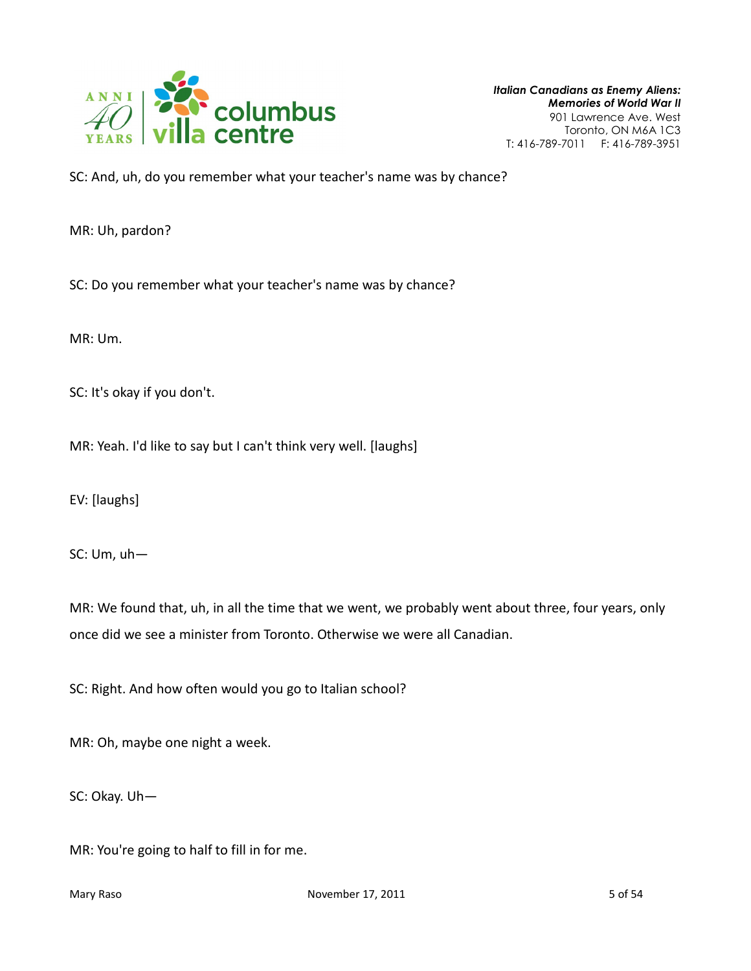

SC: And, uh, do you remember what your teacher's name was by chance?

MR: Uh, pardon?

SC: Do you remember what your teacher's name was by chance?

MR: Um.

SC: It's okay if you don't.

MR: Yeah. I'd like to say but I can't think very well. [laughs]

EV: [laughs]

SC: Um, uh—

MR: We found that, uh, in all the time that we went, we probably went about three, four years, only once did we see a minister from Toronto. Otherwise we were all Canadian.

SC: Right. And how often would you go to Italian school?

MR: Oh, maybe one night a week.

SC: Okay. Uh—

MR: You're going to half to fill in for me.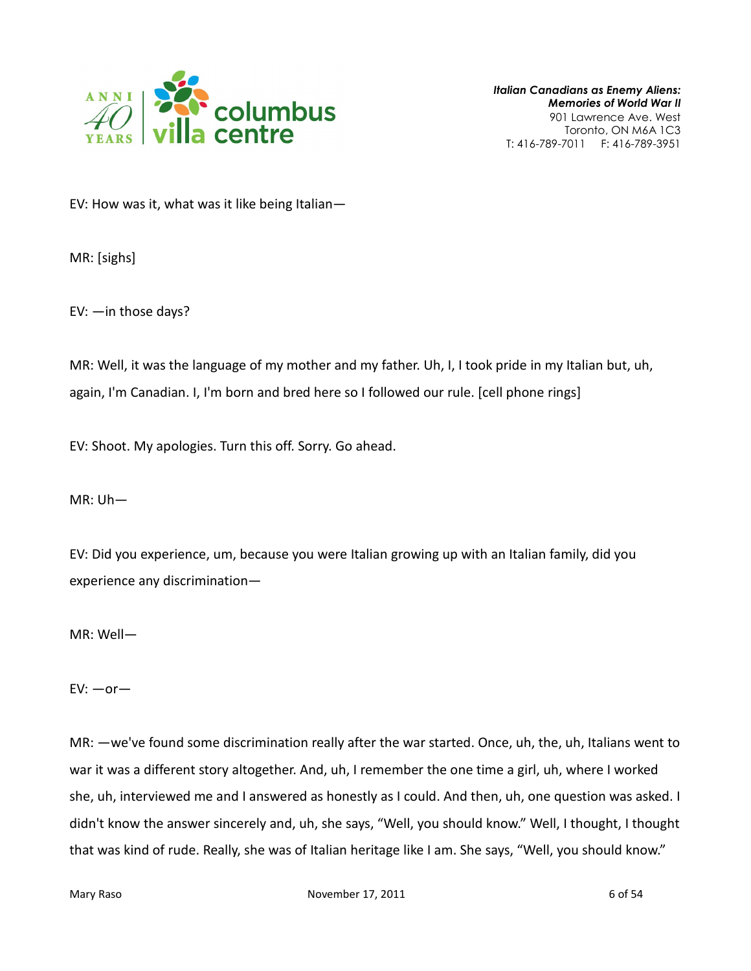

EV: How was it, what was it like being Italian—

MR: [sighs]

EV: —in those days?

MR: Well, it was the language of my mother and my father. Uh, I, I took pride in my Italian but, uh, again, I'm Canadian. I, I'm born and bred here so I followed our rule. [cell phone rings]

EV: Shoot. My apologies. Turn this off. Sorry. Go ahead.

MR: Uh—

EV: Did you experience, um, because you were Italian growing up with an Italian family, did you experience any discrimination—

MR: Well—

EV: —or—

MR: —we've found some discrimination really after the war started. Once, uh, the, uh, Italians went to war it was a different story altogether. And, uh, I remember the one time a girl, uh, where I worked she, uh, interviewed me and I answered as honestly as I could. And then, uh, one question was asked. I didn't know the answer sincerely and, uh, she says, "Well, you should know." Well, I thought, I thought that was kind of rude. Really, she was of Italian heritage like I am. She says, "Well, you should know."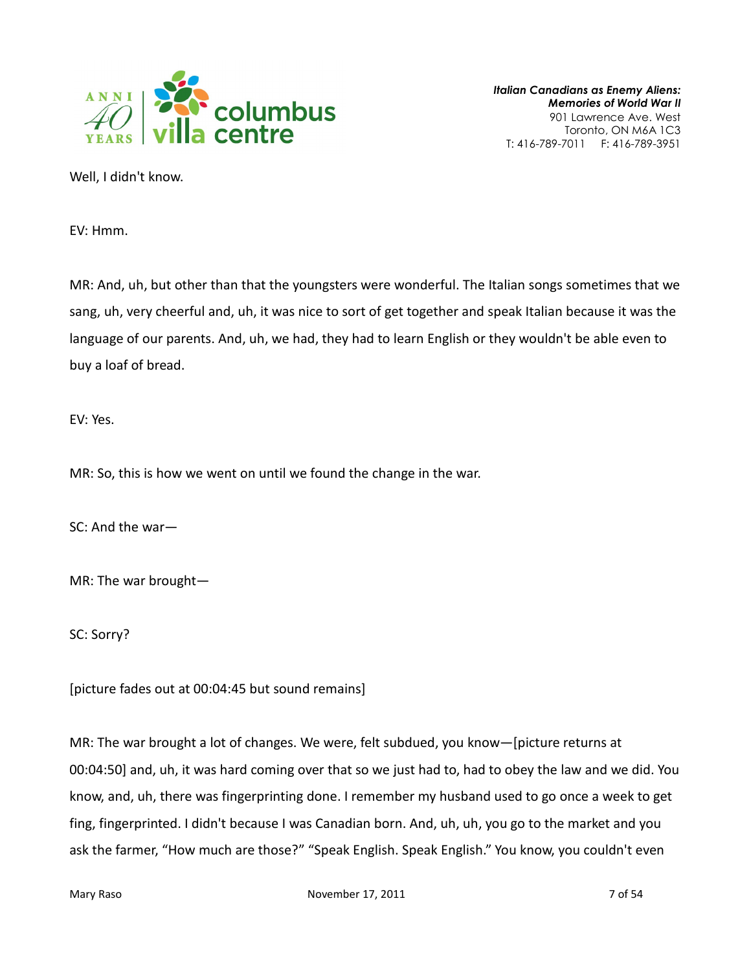

Well, I didn't know.

EV: Hmm.

MR: And, uh, but other than that the youngsters were wonderful. The Italian songs sometimes that we sang, uh, very cheerful and, uh, it was nice to sort of get together and speak Italian because it was the language of our parents. And, uh, we had, they had to learn English or they wouldn't be able even to buy a loaf of bread.

EV: Yes.

MR: So, this is how we went on until we found the change in the war.

SC: And the war—

MR: The war brought—

SC: Sorry?

[picture fades out at 00:04:45 but sound remains]

MR: The war brought a lot of changes. We were, felt subdued, you know—[picture returns at 00:04:50] and, uh, it was hard coming over that so we just had to, had to obey the law and we did. You know, and, uh, there was fingerprinting done. I remember my husband used to go once a week to get fing, fingerprinted. I didn't because I was Canadian born. And, uh, uh, you go to the market and you ask the farmer, "How much are those?" "Speak English. Speak English." You know, you couldn't even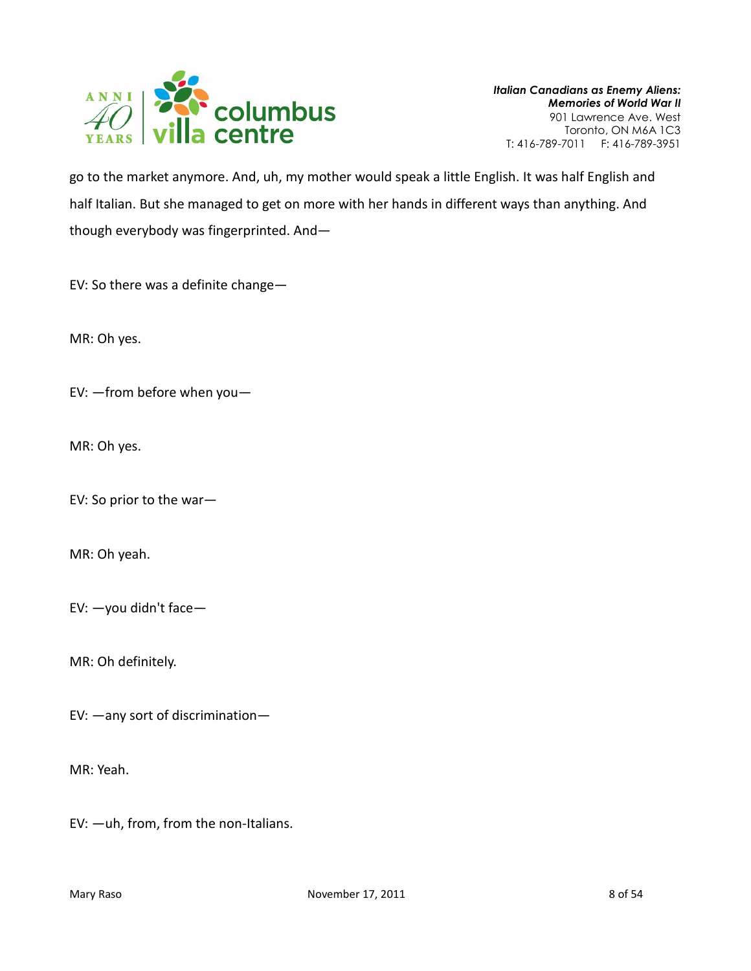

go to the market anymore. And, uh, my mother would speak a little English. It was half English and half Italian. But she managed to get on more with her hands in different ways than anything. And though everybody was fingerprinted. And—

EV: So there was a definite change—

MR: Oh yes.

EV: —from before when you—

MR: Oh yes.

EV: So prior to the war—

MR: Oh yeah.

EV: —you didn't face—

MR: Oh definitely.

EV: —any sort of discrimination—

MR: Yeah.

EV: —uh, from, from the non-Italians.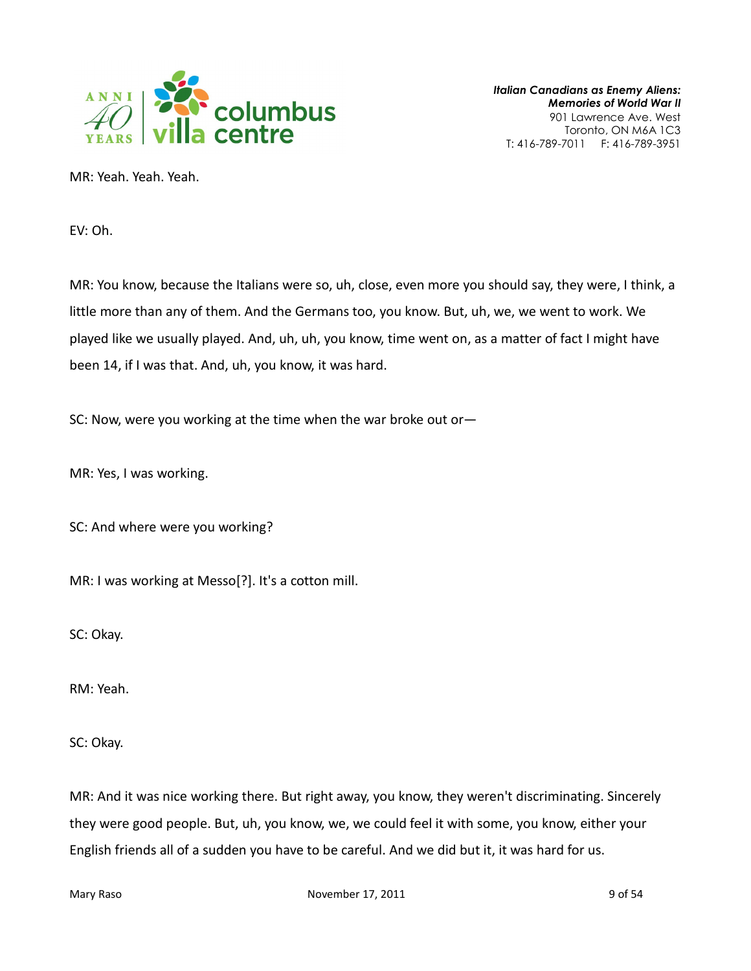

MR: Yeah. Yeah. Yeah.

EV: Oh.

MR: You know, because the Italians were so, uh, close, even more you should say, they were, I think, a little more than any of them. And the Germans too, you know. But, uh, we, we went to work. We played like we usually played. And, uh, uh, you know, time went on, as a matter of fact I might have been 14, if I was that. And, uh, you know, it was hard.

SC: Now, were you working at the time when the war broke out or—

MR: Yes, I was working.

SC: And where were you working?

MR: I was working at Messo<sup>[?]</sup>. It's a cotton mill.

SC: Okay.

RM: Yeah.

SC: Okay.

MR: And it was nice working there. But right away, you know, they weren't discriminating. Sincerely they were good people. But, uh, you know, we, we could feel it with some, you know, either your English friends all of a sudden you have to be careful. And we did but it, it was hard for us.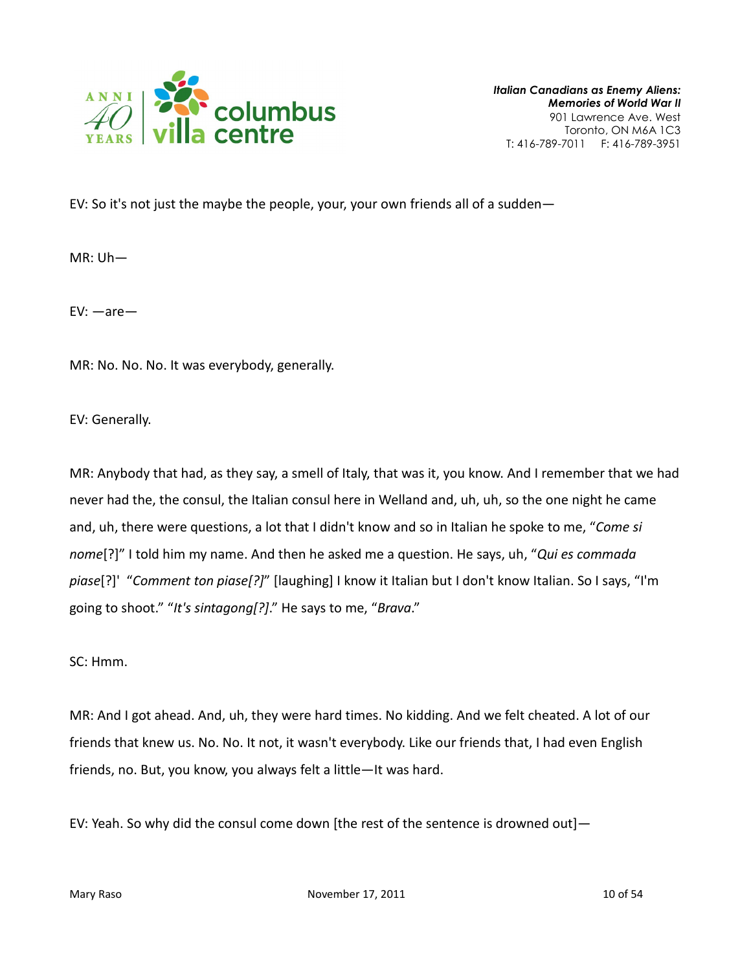

EV: So it's not just the maybe the people, your, your own friends all of a sudden—

MR: Uh—

EV: —are—

MR: No. No. No. It was everybody, generally.

EV: Generally.

MR: Anybody that had, as they say, a smell of Italy, that was it, you know. And I remember that we had never had the, the consul, the Italian consul here in Welland and, uh, uh, so the one night he came and, uh, there were questions, a lot that I didn't know and so in Italian he spoke to me, "Come si nome<sup>[?]"</sup> I told him my name. And then he asked me a question. He says, uh, "Qui es commada piase[?]' "Comment ton piase[?]" [laughing] I know it Italian but I don't know Italian. So I says, "I'm going to shoot." "It's sintagong[?]." He says to me, "Brava."

### SC: Hmm.

MR: And I got ahead. And, uh, they were hard times. No kidding. And we felt cheated. A lot of our friends that knew us. No. No. It not, it wasn't everybody. Like our friends that, I had even English friends, no. But, you know, you always felt a little—It was hard.

EV: Yeah. So why did the consul come down [the rest of the sentence is drowned out]—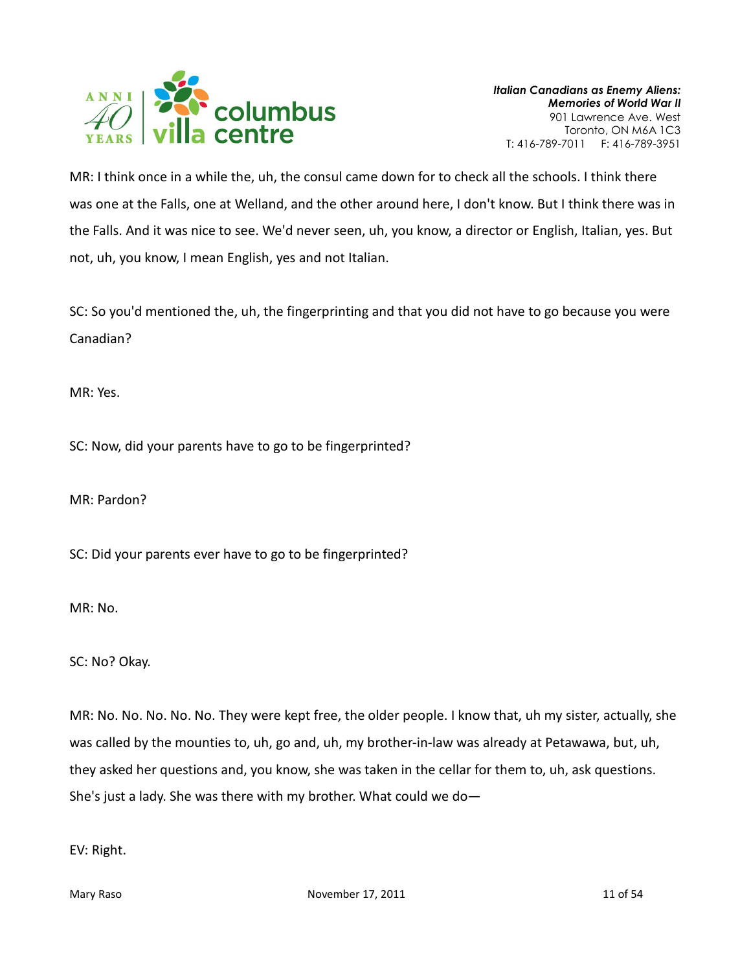

MR: I think once in a while the, uh, the consul came down for to check all the schools. I think there was one at the Falls, one at Welland, and the other around here, I don't know. But I think there was in the Falls. And it was nice to see. We'd never seen, uh, you know, a director or English, Italian, yes. But not, uh, you know, I mean English, yes and not Italian.

SC: So you'd mentioned the, uh, the fingerprinting and that you did not have to go because you were Canadian?

MR: Yes.

SC: Now, did your parents have to go to be fingerprinted?

MR: Pardon?

SC: Did your parents ever have to go to be fingerprinted?

MR: No.

SC: No? Okay.

MR: No. No. No. No. No. They were kept free, the older people. I know that, uh my sister, actually, she was called by the mounties to, uh, go and, uh, my brother-in-law was already at Petawawa, but, uh, they asked her questions and, you know, she was taken in the cellar for them to, uh, ask questions. She's just a lady. She was there with my brother. What could we do—

EV: Right.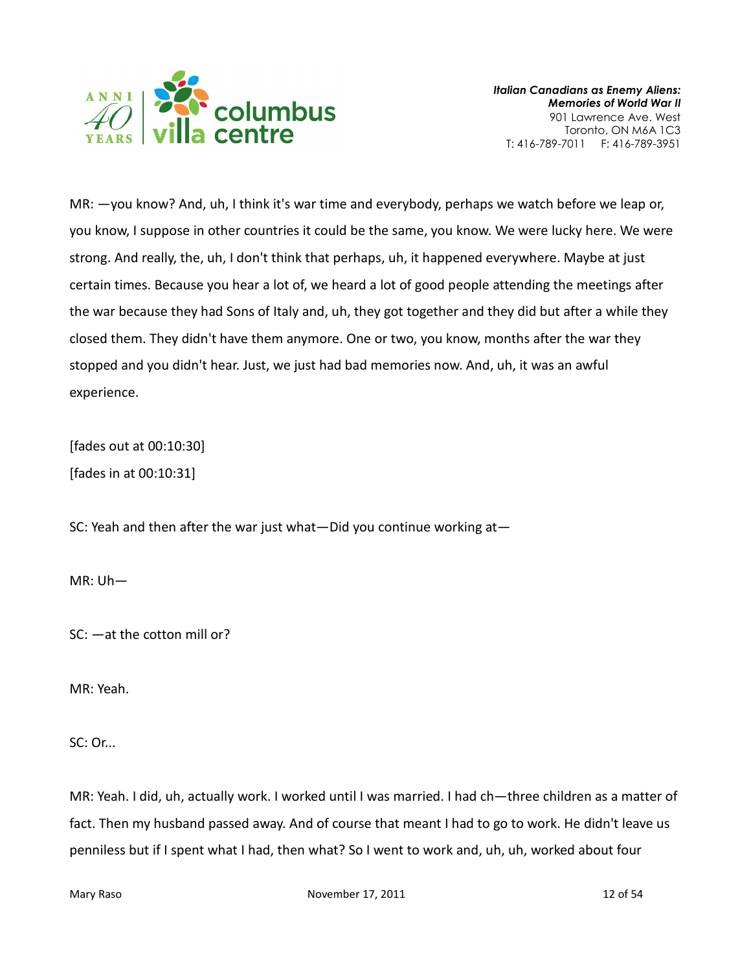

MR: —you know? And, uh, I think it's war time and everybody, perhaps we watch before we leap or, you know, I suppose in other countries it could be the same, you know. We were lucky here. We were strong. And really, the, uh, I don't think that perhaps, uh, it happened everywhere. Maybe at just certain times. Because you hear a lot of, we heard a lot of good people attending the meetings after the war because they had Sons of Italy and, uh, they got together and they did but after a while they closed them. They didn't have them anymore. One or two, you know, months after the war they stopped and you didn't hear. Just, we just had bad memories now. And, uh, it was an awful experience.

[fades out at 00:10:30] [fades in at 00:10:31]

SC: Yeah and then after the war just what—Did you continue working at—

MR: Uh—

SC: —at the cotton mill or?

MR: Yeah.

SC: Or...

MR: Yeah. I did, uh, actually work. I worked until I was married. I had ch—three children as a matter of fact. Then my husband passed away. And of course that meant I had to go to work. He didn't leave us penniless but if I spent what I had, then what? So I went to work and, uh, uh, worked about four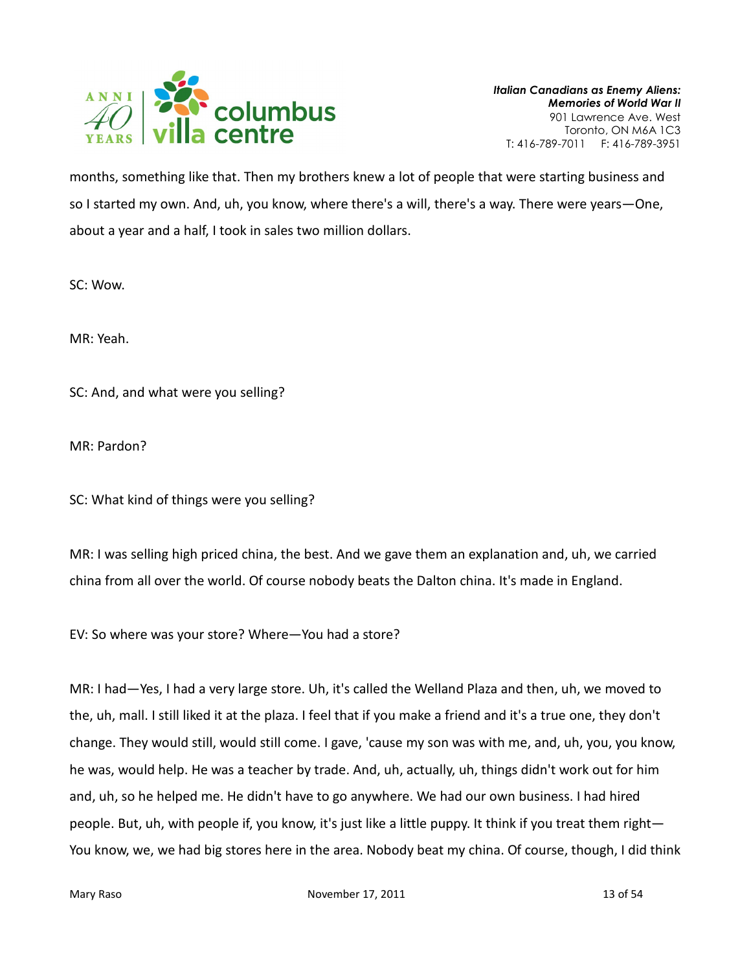

months, something like that. Then my brothers knew a lot of people that were starting business and so I started my own. And, uh, you know, where there's a will, there's a way. There were years—One, about a year and a half, I took in sales two million dollars.

SC: Wow.

MR: Yeah.

SC: And, and what were you selling?

MR: Pardon?

SC: What kind of things were you selling?

MR: I was selling high priced china, the best. And we gave them an explanation and, uh, we carried china from all over the world. Of course nobody beats the Dalton china. It's made in England.

EV: So where was your store? Where—You had a store?

MR: I had—Yes, I had a very large store. Uh, it's called the Welland Plaza and then, uh, we moved to the, uh, mall. I still liked it at the plaza. I feel that if you make a friend and it's a true one, they don't change. They would still, would still come. I gave, 'cause my son was with me, and, uh, you, you know, he was, would help. He was a teacher by trade. And, uh, actually, uh, things didn't work out for him and, uh, so he helped me. He didn't have to go anywhere. We had our own business. I had hired people. But, uh, with people if, you know, it's just like a little puppy. It think if you treat them right— You know, we, we had big stores here in the area. Nobody beat my china. Of course, though, I did think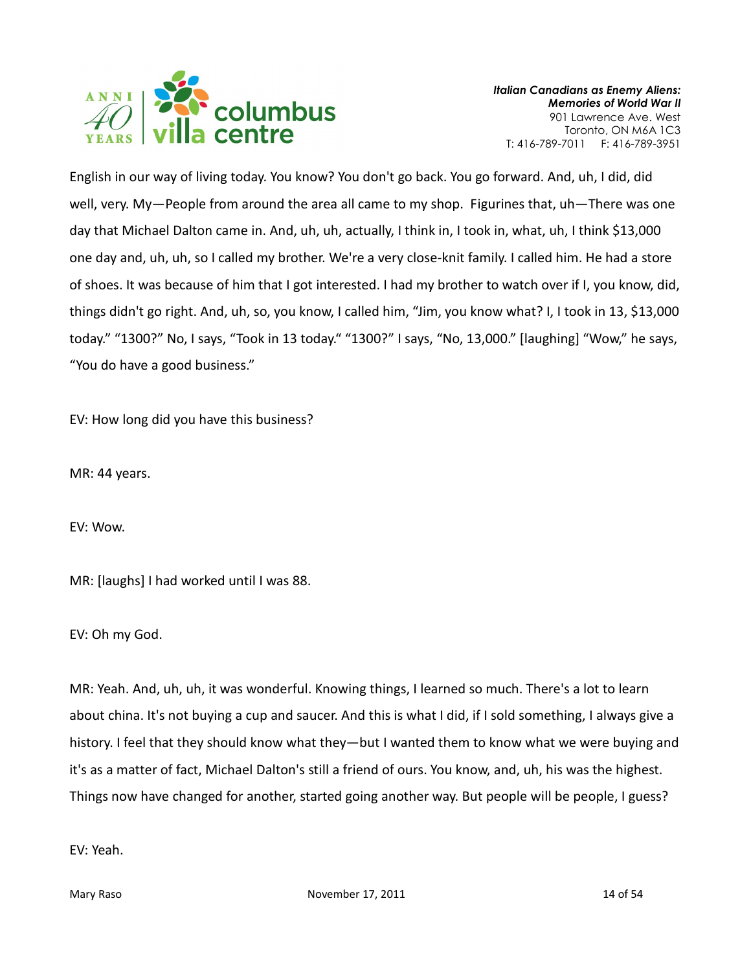

English in our way of living today. You know? You don't go back. You go forward. And, uh, I did, did well, very. My—People from around the area all came to my shop. Figurines that, uh—There was one day that Michael Dalton came in. And, uh, uh, actually, I think in, I took in, what, uh, I think \$13,000 one day and, uh, uh, so I called my brother. We're a very close-knit family. I called him. He had a store of shoes. It was because of him that I got interested. I had my brother to watch over if I, you know, did, things didn't go right. And, uh, so, you know, I called him, "Jim, you know what? I, I took in 13, \$13,000 today." "1300?" No, I says, "Took in 13 today." "1300?" I says, "No, 13,000." [laughing] "Wow," he says, "You do have a good business."

EV: How long did you have this business?

MR: 44 years.

EV: Wow.

MR: [laughs] I had worked until I was 88.

EV: Oh my God.

MR: Yeah. And, uh, uh, it was wonderful. Knowing things, I learned so much. There's a lot to learn about china. It's not buying a cup and saucer. And this is what I did, if I sold something, I always give a history. I feel that they should know what they—but I wanted them to know what we were buying and it's as a matter of fact, Michael Dalton's still a friend of ours. You know, and, uh, his was the highest. Things now have changed for another, started going another way. But people will be people, I guess?

EV: Yeah.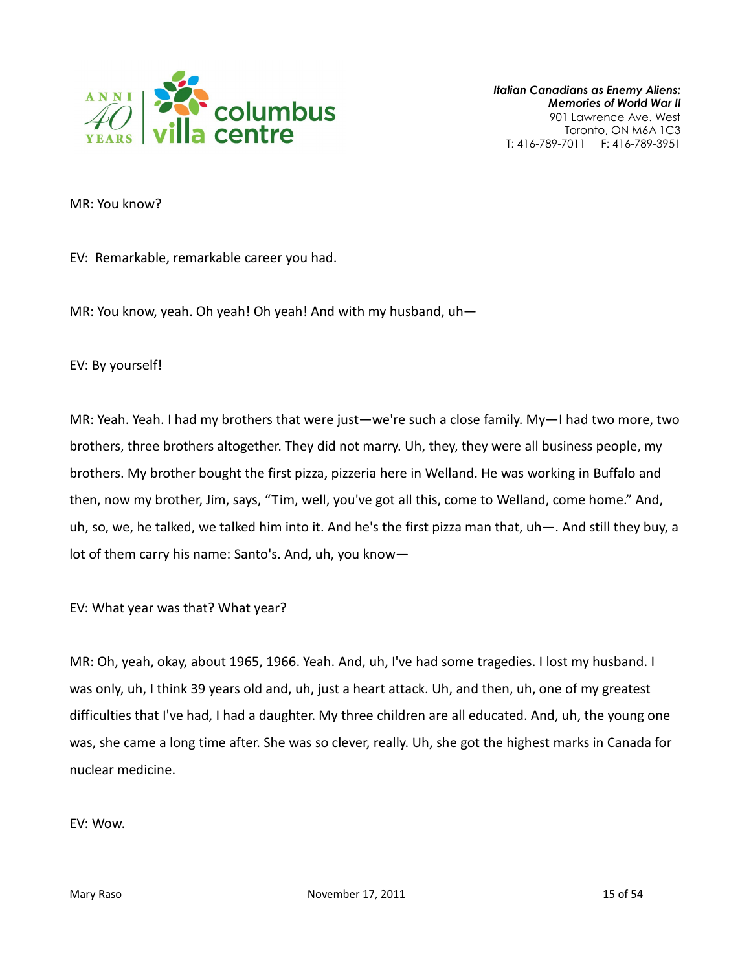

MR: You know?

EV: Remarkable, remarkable career you had.

MR: You know, yeah. Oh yeah! Oh yeah! And with my husband, uh—

EV: By yourself!

MR: Yeah. Yeah. I had my brothers that were just—we're such a close family. My—I had two more, two brothers, three brothers altogether. They did not marry. Uh, they, they were all business people, my brothers. My brother bought the first pizza, pizzeria here in Welland. He was working in Buffalo and then, now my brother, Jim, says, "Tim, well, you've got all this, come to Welland, come home." And, uh, so, we, he talked, we talked him into it. And he's the first pizza man that, uh—. And still they buy, a lot of them carry his name: Santo's. And, uh, you know—

EV: What year was that? What year?

MR: Oh, yeah, okay, about 1965, 1966. Yeah. And, uh, I've had some tragedies. I lost my husband. I was only, uh, I think 39 years old and, uh, just a heart attack. Uh, and then, uh, one of my greatest difficulties that I've had, I had a daughter. My three children are all educated. And, uh, the young one was, she came a long time after. She was so clever, really. Uh, she got the highest marks in Canada for nuclear medicine.

EV: Wow.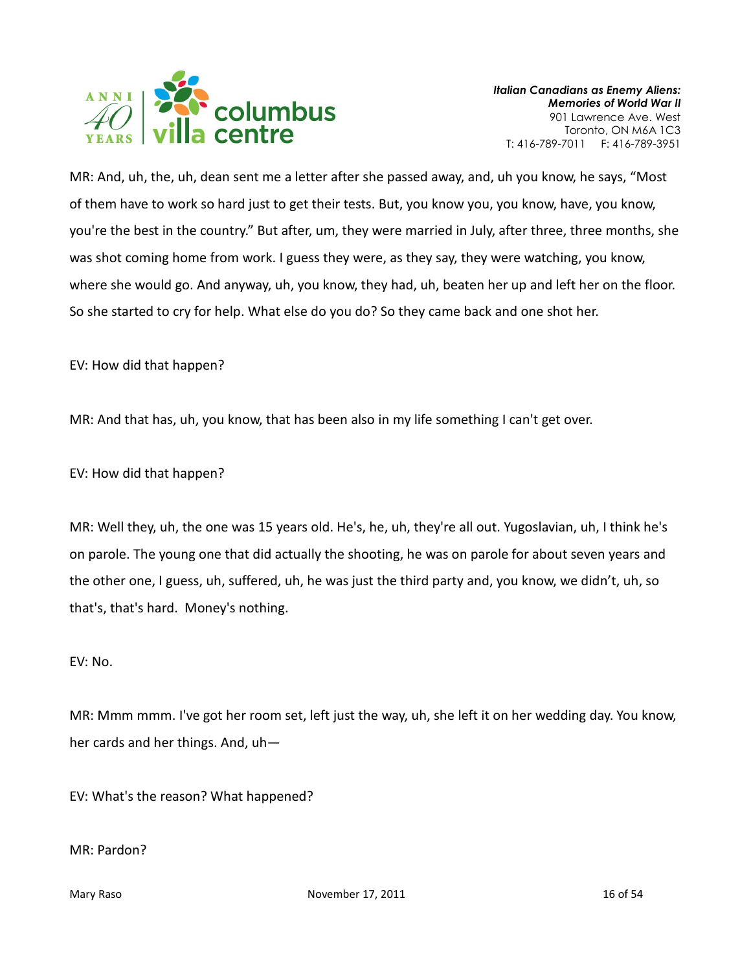

MR: And, uh, the, uh, dean sent me a letter after she passed away, and, uh you know, he says, "Most of them have to work so hard just to get their tests. But, you know you, you know, have, you know, you're the best in the country." But after, um, they were married in July, after three, three months, she was shot coming home from work. I guess they were, as they say, they were watching, you know, where she would go. And anyway, uh, you know, they had, uh, beaten her up and left her on the floor. So she started to cry for help. What else do you do? So they came back and one shot her.

EV: How did that happen?

MR: And that has, uh, you know, that has been also in my life something I can't get over.

EV: How did that happen?

MR: Well they, uh, the one was 15 years old. He's, he, uh, they're all out. Yugoslavian, uh, I think he's on parole. The young one that did actually the shooting, he was on parole for about seven years and the other one, I guess, uh, suffered, uh, he was just the third party and, you know, we didn't, uh, so that's, that's hard. Money's nothing.

### EV: No.

MR: Mmm mmm. I've got her room set, left just the way, uh, she left it on her wedding day. You know, her cards and her things. And, uh—

EV: What's the reason? What happened?

### MR: Pardon?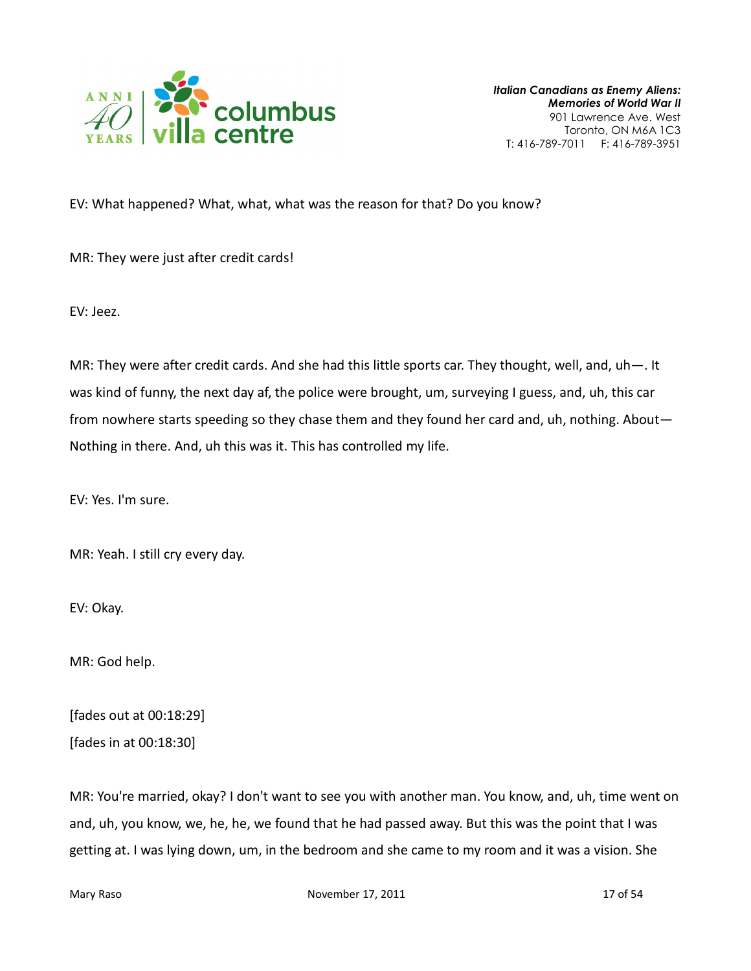

EV: What happened? What, what, what was the reason for that? Do you know?

MR: They were just after credit cards!

EV: Jeez.

MR: They were after credit cards. And she had this little sports car. They thought, well, and, uh—. It was kind of funny, the next day af, the police were brought, um, surveying I guess, and, uh, this car from nowhere starts speeding so they chase them and they found her card and, uh, nothing. About— Nothing in there. And, uh this was it. This has controlled my life.

EV: Yes. I'm sure.

MR: Yeah. I still cry every day.

EV: Okay.

MR: God help.

[fades out at 00:18:29]

[fades in at 00:18:30]

MR: You're married, okay? I don't want to see you with another man. You know, and, uh, time went on and, uh, you know, we, he, he, we found that he had passed away. But this was the point that I was getting at. I was lying down, um, in the bedroom and she came to my room and it was a vision. She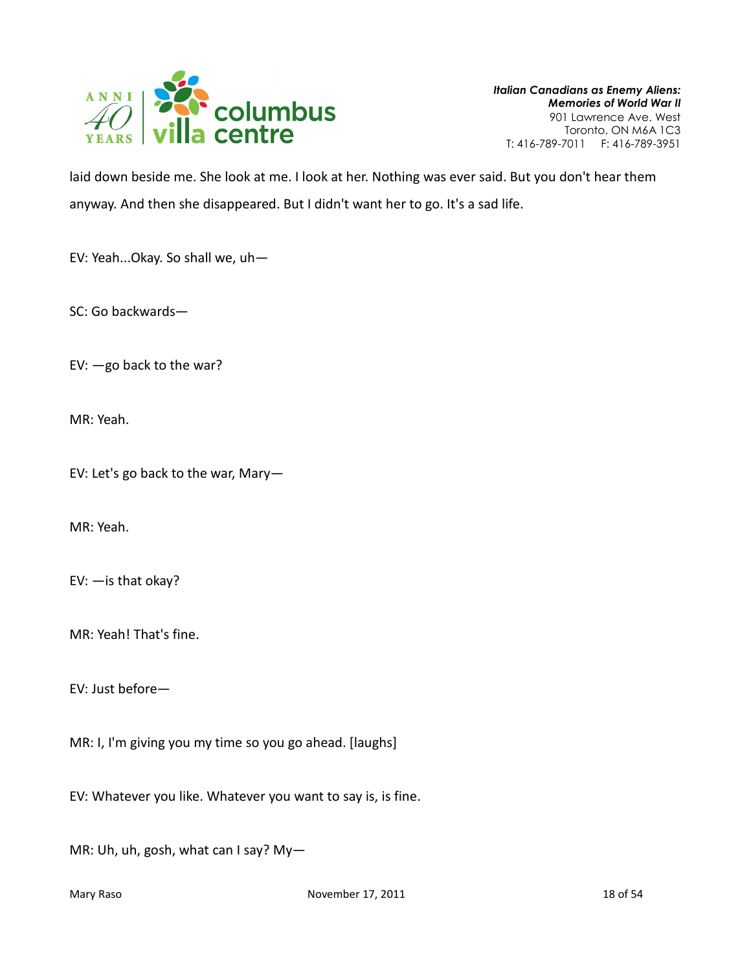

laid down beside me. She look at me. I look at her. Nothing was ever said. But you don't hear them anyway. And then she disappeared. But I didn't want her to go. It's a sad life.

EV: Yeah...Okay. So shall we, uh—

SC: Go backwards—

EV: —go back to the war?

MR: Yeah.

EV: Let's go back to the war, Mary—

MR: Yeah.

EV: —is that okay?

MR: Yeah! That's fine.

EV: Just before—

MR: I, I'm giving you my time so you go ahead. [laughs]

EV: Whatever you like. Whatever you want to say is, is fine.

MR: Uh, uh, gosh, what can I say? My—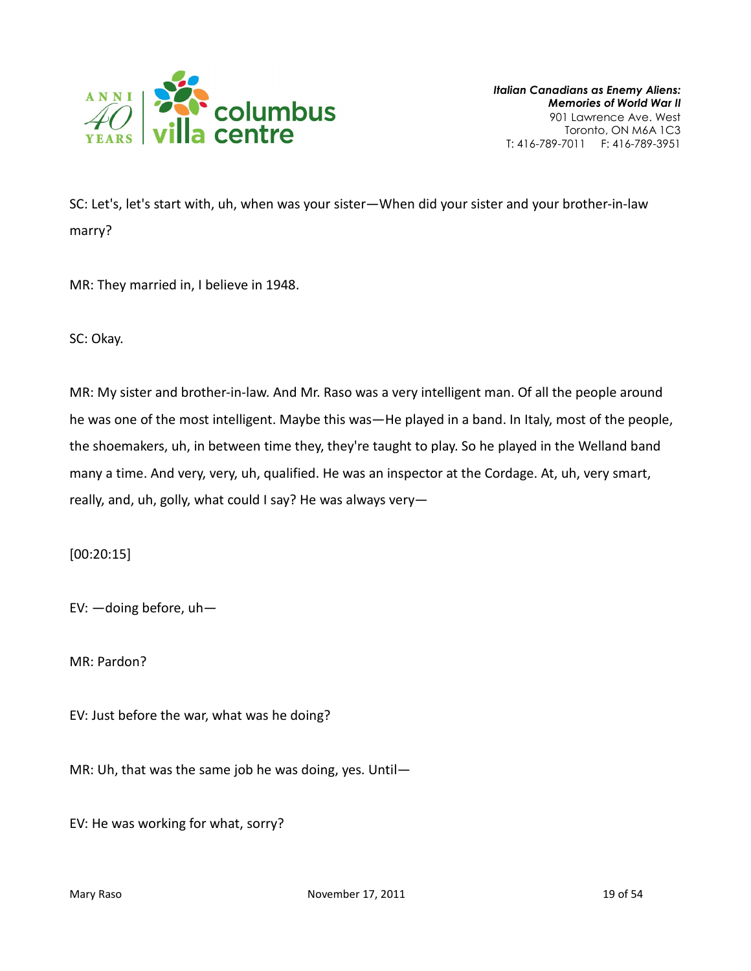

SC: Let's, let's start with, uh, when was your sister—When did your sister and your brother-in-law marry?

MR: They married in, I believe in 1948.

SC: Okay.

MR: My sister and brother-in-law. And Mr. Raso was a very intelligent man. Of all the people around he was one of the most intelligent. Maybe this was—He played in a band. In Italy, most of the people, the shoemakers, uh, in between time they, they're taught to play. So he played in the Welland band many a time. And very, very, uh, qualified. He was an inspector at the Cordage. At, uh, very smart, really, and, uh, golly, what could I say? He was always very—

[00:20:15]

EV: —doing before, uh—

MR: Pardon?

EV: Just before the war, what was he doing?

MR: Uh, that was the same job he was doing, yes. Until—

EV: He was working for what, sorry?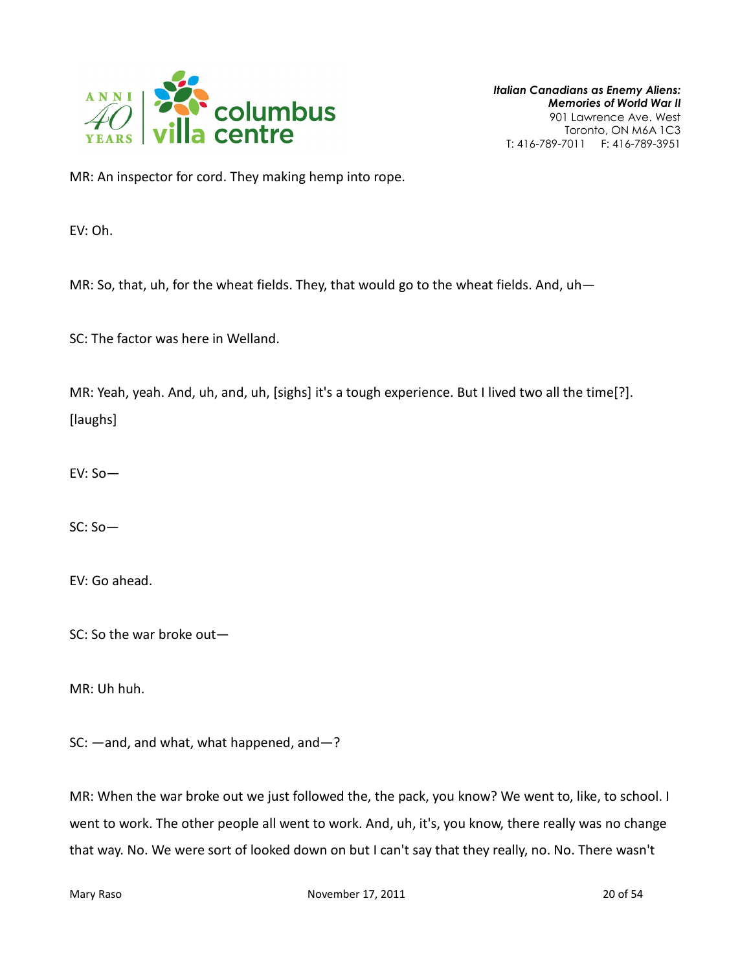

MR: An inspector for cord. They making hemp into rope.

EV: Oh.

MR: So, that, uh, for the wheat fields. They, that would go to the wheat fields. And, uh—

SC: The factor was here in Welland.

MR: Yeah, yeah. And, uh, and, uh, [sighs] it's a tough experience. But I lived two all the time[?]. [laughs]

EV: So—

SC: So—

EV: Go ahead.

SC: So the war broke out—

MR: Uh huh.

SC: —and, and what, what happened, and—?

MR: When the war broke out we just followed the, the pack, you know? We went to, like, to school. I went to work. The other people all went to work. And, uh, it's, you know, there really was no change that way. No. We were sort of looked down on but I can't say that they really, no. No. There wasn't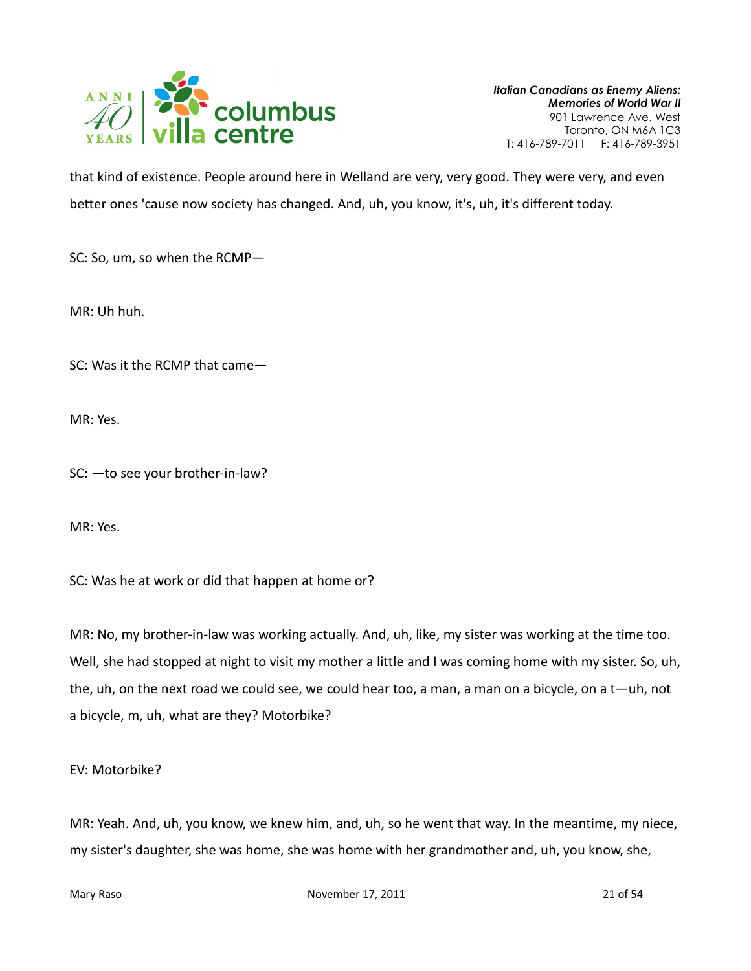

that kind of existence. People around here in Welland are very, very good. They were very, and even better ones 'cause now society has changed. And, uh, you know, it's, uh, it's different today.

SC: So, um, so when the RCMP—

MR: Uh huh.

SC: Was it the RCMP that came—

MR: Yes.

SC: —to see your brother-in-law?

MR: Yes.

SC: Was he at work or did that happen at home or?

MR: No, my brother-in-law was working actually. And, uh, like, my sister was working at the time too. Well, she had stopped at night to visit my mother a little and I was coming home with my sister. So, uh, the, uh, on the next road we could see, we could hear too, a man, a man on a bicycle, on a t—uh, not a bicycle, m, uh, what are they? Motorbike?

EV: Motorbike?

MR: Yeah. And, uh, you know, we knew him, and, uh, so he went that way. In the meantime, my niece, my sister's daughter, she was home, she was home with her grandmother and, uh, you know, she,

Mary Raso **November 17, 2011** 21 of 54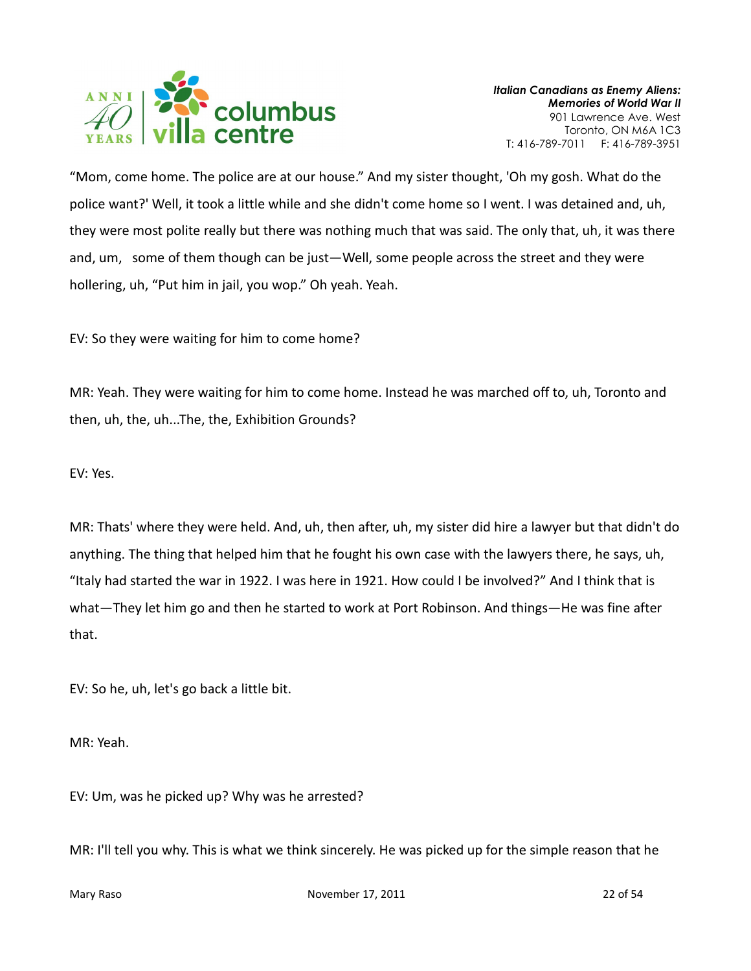

"Mom, come home. The police are at our house." And my sister thought, 'Oh my gosh. What do the police want?' Well, it took a little while and she didn't come home so I went. I was detained and, uh, they were most polite really but there was nothing much that was said. The only that, uh, it was there and, um, some of them though can be just—Well, some people across the street and they were hollering, uh, "Put him in jail, you wop." Oh yeah. Yeah.

EV: So they were waiting for him to come home?

MR: Yeah. They were waiting for him to come home. Instead he was marched off to, uh, Toronto and then, uh, the, uh...The, the, Exhibition Grounds?

EV: Yes.

MR: Thats' where they were held. And, uh, then after, uh, my sister did hire a lawyer but that didn't do anything. The thing that helped him that he fought his own case with the lawyers there, he says, uh, "Italy had started the war in 1922. I was here in 1921. How could I be involved?" And I think that is what—They let him go and then he started to work at Port Robinson. And things—He was fine after that.

EV: So he, uh, let's go back a little bit.

MR: Yeah.

EV: Um, was he picked up? Why was he arrested?

MR: I'll tell you why. This is what we think sincerely. He was picked up for the simple reason that he

Mary Raso **November 17, 2011** 22 of 54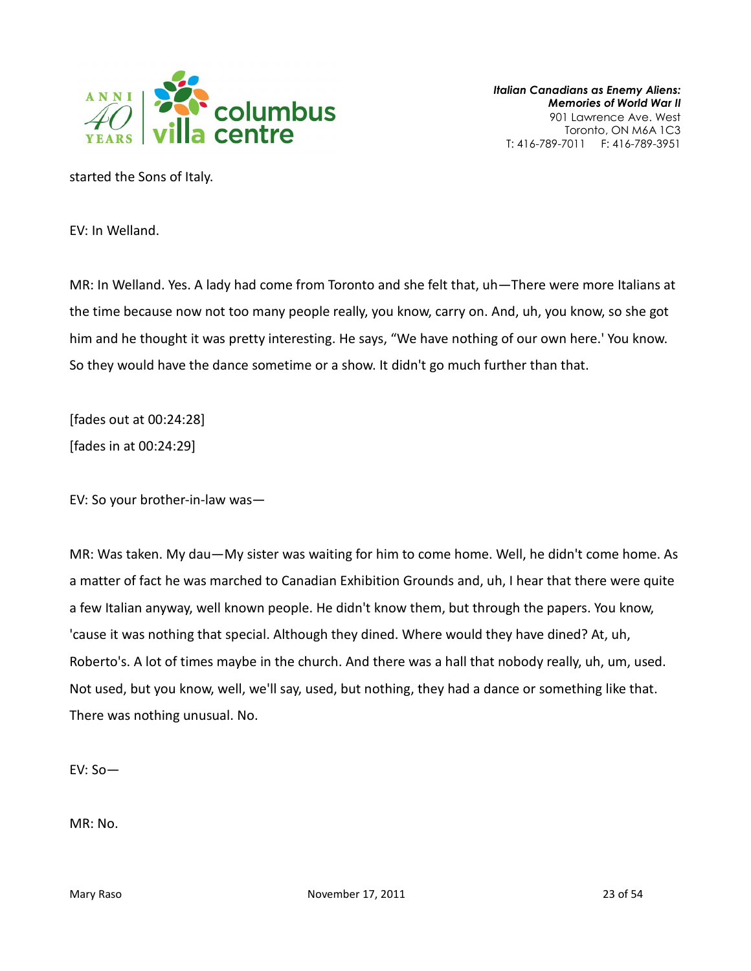

started the Sons of Italy.

EV: In Welland.

MR: In Welland. Yes. A lady had come from Toronto and she felt that, uh—There were more Italians at the time because now not too many people really, you know, carry on. And, uh, you know, so she got him and he thought it was pretty interesting. He says, "We have nothing of our own here.' You know. So they would have the dance sometime or a show. It didn't go much further than that.

[fades out at 00:24:28] [fades in at 00:24:29]

EV: So your brother-in-law was—

MR: Was taken. My dau—My sister was waiting for him to come home. Well, he didn't come home. As a matter of fact he was marched to Canadian Exhibition Grounds and, uh, I hear that there were quite a few Italian anyway, well known people. He didn't know them, but through the papers. You know, 'cause it was nothing that special. Although they dined. Where would they have dined? At, uh, Roberto's. A lot of times maybe in the church. And there was a hall that nobody really, uh, um, used. Not used, but you know, well, we'll say, used, but nothing, they had a dance or something like that. There was nothing unusual. No.

EV: So—

MR: No.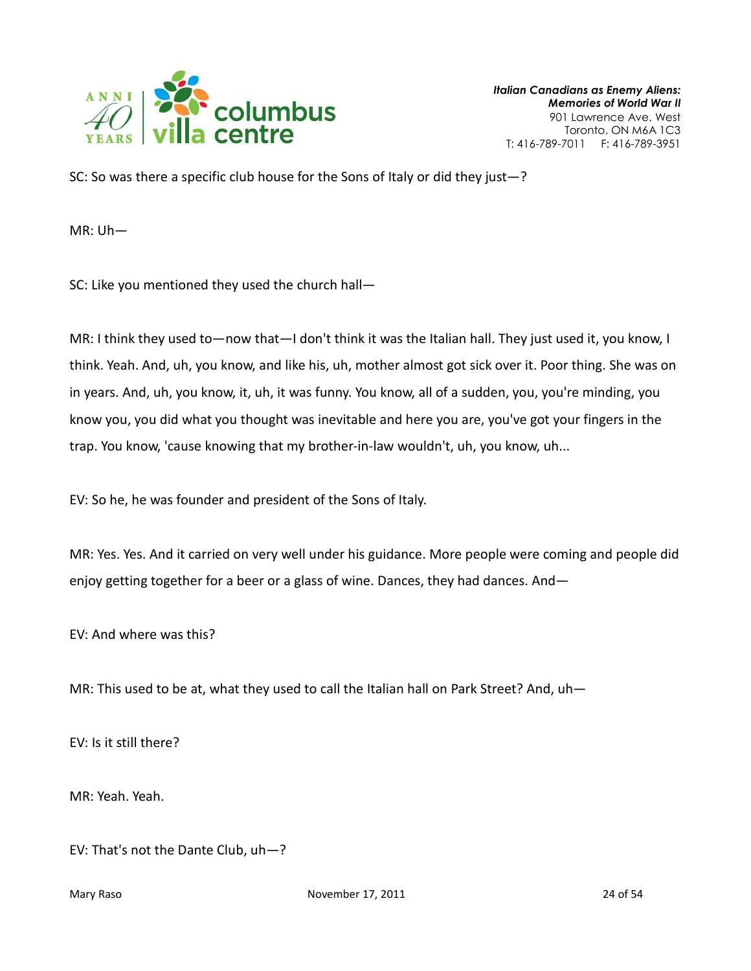

SC: So was there a specific club house for the Sons of Italy or did they just—?

MR: Uh—

SC: Like you mentioned they used the church hall—

MR: I think they used to—now that—I don't think it was the Italian hall. They just used it, you know, I think. Yeah. And, uh, you know, and like his, uh, mother almost got sick over it. Poor thing. She was on in years. And, uh, you know, it, uh, it was funny. You know, all of a sudden, you, you're minding, you know you, you did what you thought was inevitable and here you are, you've got your fingers in the trap. You know, 'cause knowing that my brother-in-law wouldn't, uh, you know, uh...

EV: So he, he was founder and president of the Sons of Italy.

MR: Yes. Yes. And it carried on very well under his guidance. More people were coming and people did enjoy getting together for a beer or a glass of wine. Dances, they had dances. And—

EV: And where was this?

MR: This used to be at, what they used to call the Italian hall on Park Street? And, uh—

EV: Is it still there?

MR: Yeah. Yeah.

EV: That's not the Dante Club, uh—?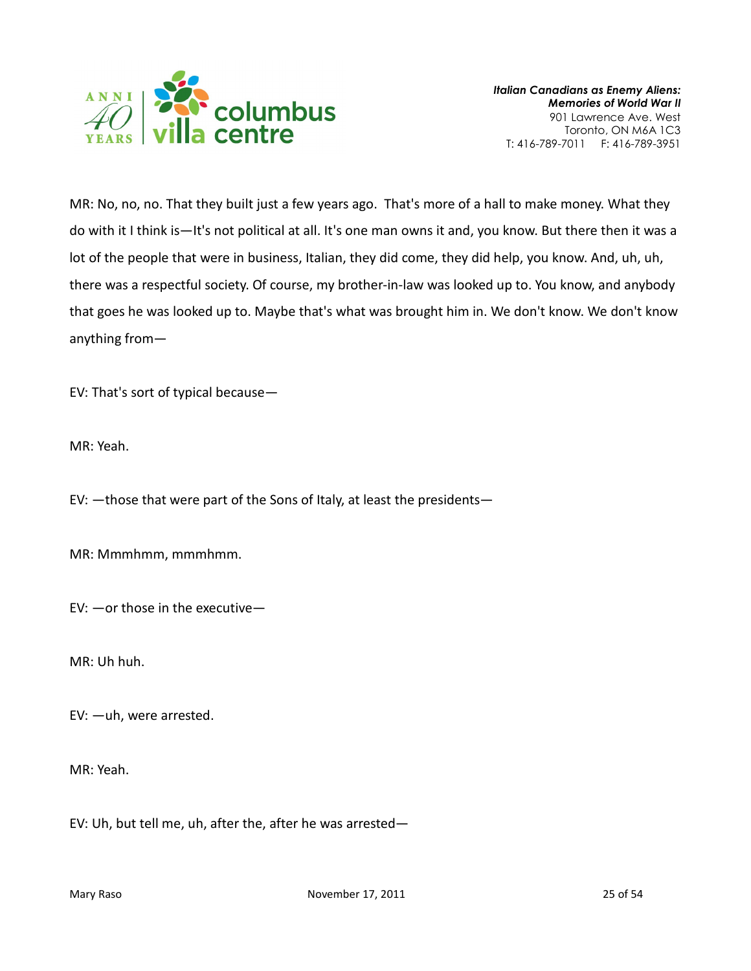

MR: No, no, no. That they built just a few years ago. That's more of a hall to make money. What they do with it I think is—It's not political at all. It's one man owns it and, you know. But there then it was a lot of the people that were in business, Italian, they did come, they did help, you know. And, uh, uh, there was a respectful society. Of course, my brother-in-law was looked up to. You know, and anybody that goes he was looked up to. Maybe that's what was brought him in. We don't know. We don't know anything from—

EV: That's sort of typical because—

MR: Yeah.

EV: —those that were part of the Sons of Italy, at least the presidents—

MR: Mmmhmm, mmmhmm.

EV: —or those in the executive—

MR: Uh huh.

EV: —uh, were arrested.

MR: Yeah.

EV: Uh, but tell me, uh, after the, after he was arrested—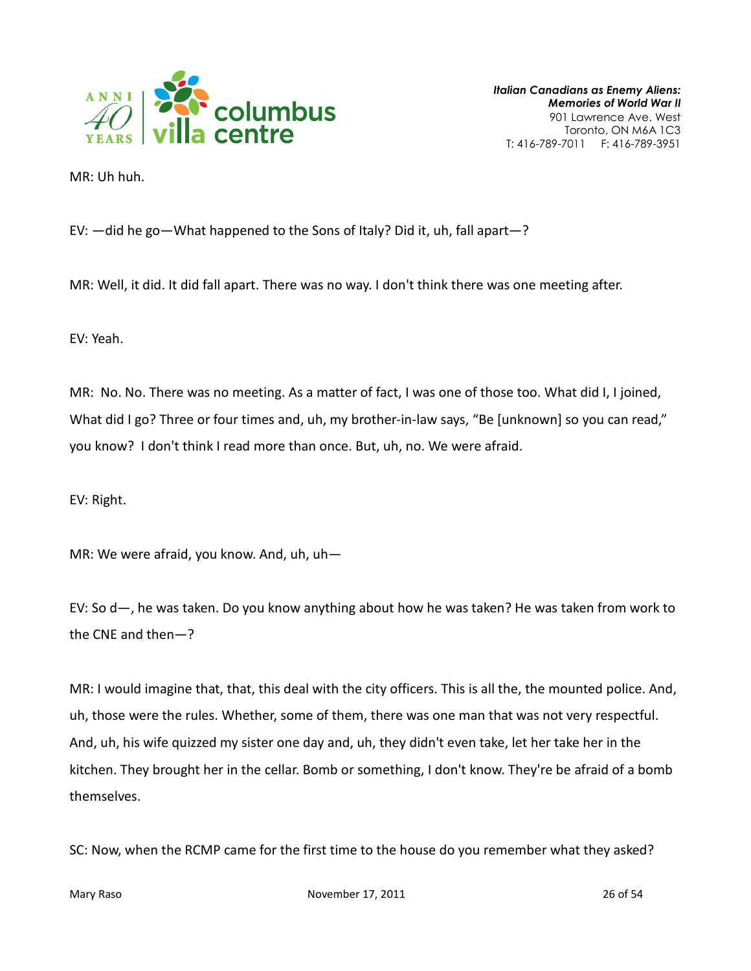

MR: Uh huh.

EV: —did he go—What happened to the Sons of Italy? Did it, uh, fall apart—?

MR: Well, it did. It did fall apart. There was no way. I don't think there was one meeting after.

EV: Yeah.

MR: No. No. There was no meeting. As a matter of fact, I was one of those too. What did I, I joined, What did I go? Three or four times and, uh, my brother-in-law says, "Be [unknown] so you can read," you know? I don't think I read more than once. But, uh, no. We were afraid.

EV: Right.

MR: We were afraid, you know. And, uh, uh—

EV: So d—, he was taken. Do you know anything about how he was taken? He was taken from work to the CNE and then—?

MR: I would imagine that, that, this deal with the city officers. This is all the, the mounted police. And, uh, those were the rules. Whether, some of them, there was one man that was not very respectful. And, uh, his wife quizzed my sister one day and, uh, they didn't even take, let her take her in the kitchen. They brought her in the cellar. Bomb or something, I don't know. They're be afraid of a bomb themselves.

SC: Now, when the RCMP came for the first time to the house do you remember what they asked?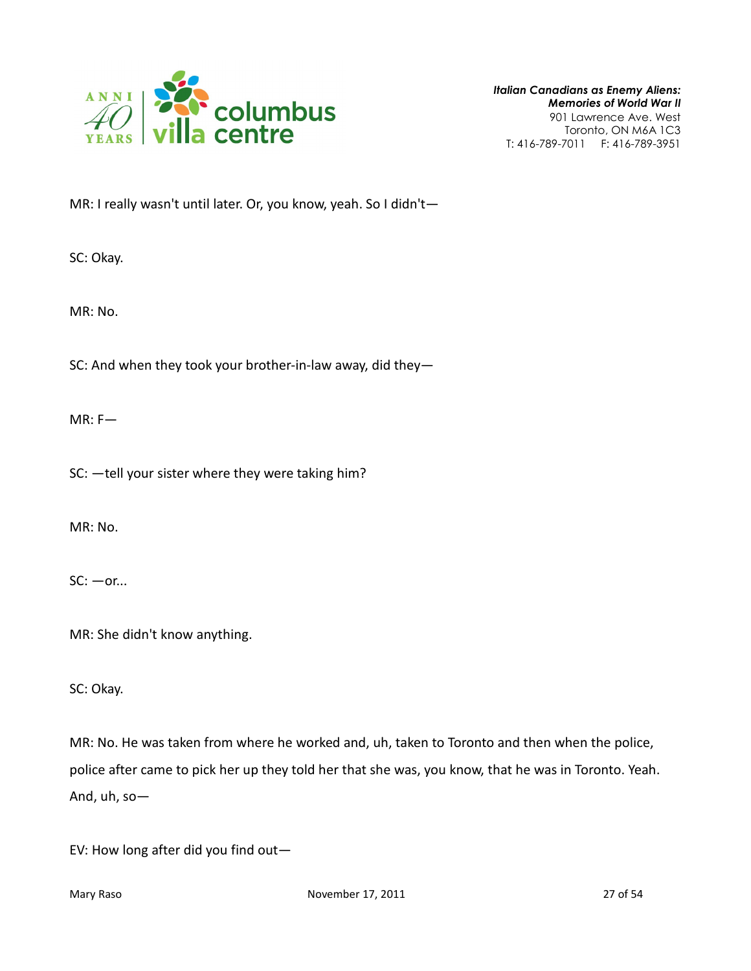

MR: I really wasn't until later. Or, you know, yeah. So I didn't—

SC: Okay.

MR: No.

SC: And when they took your brother-in-law away, did they—

MR: F—

SC: —tell your sister where they were taking him?

MR: No.

 $SC: -or...$ 

MR: She didn't know anything.

SC: Okay.

MR: No. He was taken from where he worked and, uh, taken to Toronto and then when the police, police after came to pick her up they told her that she was, you know, that he was in Toronto. Yeah. And, uh, so—

EV: How long after did you find out—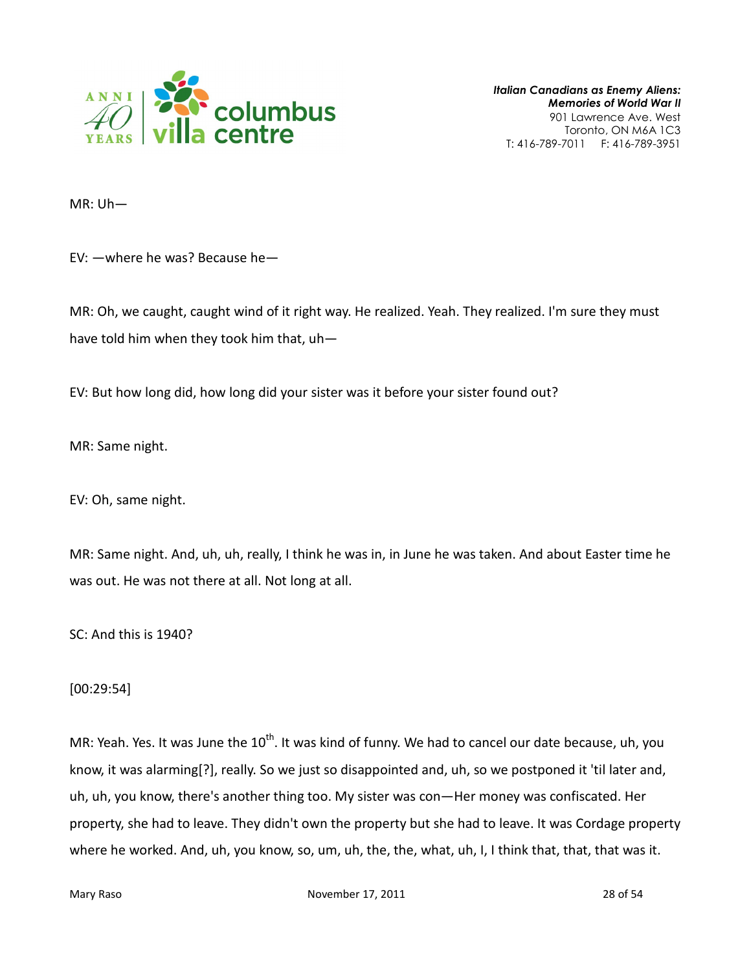

MR: Uh—

EV: —where he was? Because he—

MR: Oh, we caught, caught wind of it right way. He realized. Yeah. They realized. I'm sure they must have told him when they took him that, uh—

EV: But how long did, how long did your sister was it before your sister found out?

MR: Same night.

EV: Oh, same night.

MR: Same night. And, uh, uh, really, I think he was in, in June he was taken. And about Easter time he was out. He was not there at all. Not long at all.

SC: And this is 1940?

[00:29:54]

MR: Yeah. Yes. It was June the  $10^{th}$ . It was kind of funny. We had to cancel our date because, uh, you know, it was alarming[?], really. So we just so disappointed and, uh, so we postponed it 'til later and, uh, uh, you know, there's another thing too. My sister was con—Her money was confiscated. Her property, she had to leave. They didn't own the property but she had to leave. It was Cordage property where he worked. And, uh, you know, so, um, uh, the, the, what, uh, I, I think that, that, that was it.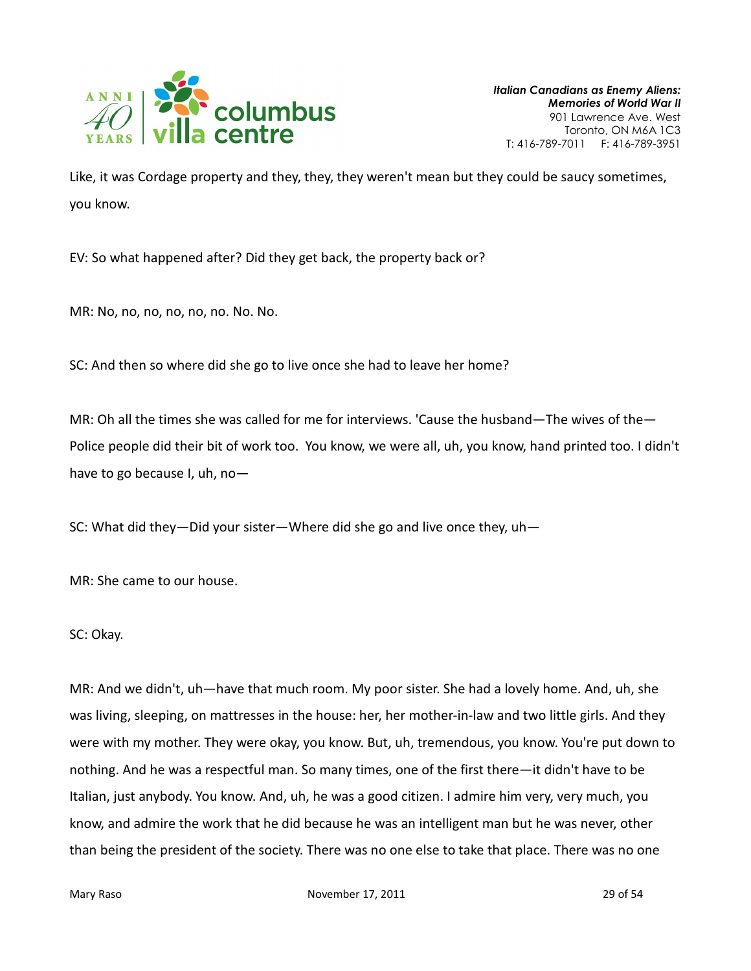

Like, it was Cordage property and they, they, they weren't mean but they could be saucy sometimes, you know.

EV: So what happened after? Did they get back, the property back or?

MR: No, no, no, no, no, no. No. No.

SC: And then so where did she go to live once she had to leave her home?

MR: Oh all the times she was called for me for interviews. 'Cause the husband—The wives of the— Police people did their bit of work too. You know, we were all, uh, you know, hand printed too. I didn't have to go because I, uh, no—

SC: What did they—Did your sister—Where did she go and live once they, uh—

MR: She came to our house.

SC: Okay.

MR: And we didn't, uh—have that much room. My poor sister. She had a lovely home. And, uh, she was living, sleeping, on mattresses in the house: her, her mother-in-law and two little girls. And they were with my mother. They were okay, you know. But, uh, tremendous, you know. You're put down to nothing. And he was a respectful man. So many times, one of the first there—it didn't have to be Italian, just anybody. You know. And, uh, he was a good citizen. I admire him very, very much, you know, and admire the work that he did because he was an intelligent man but he was never, other than being the president of the society. There was no one else to take that place. There was no one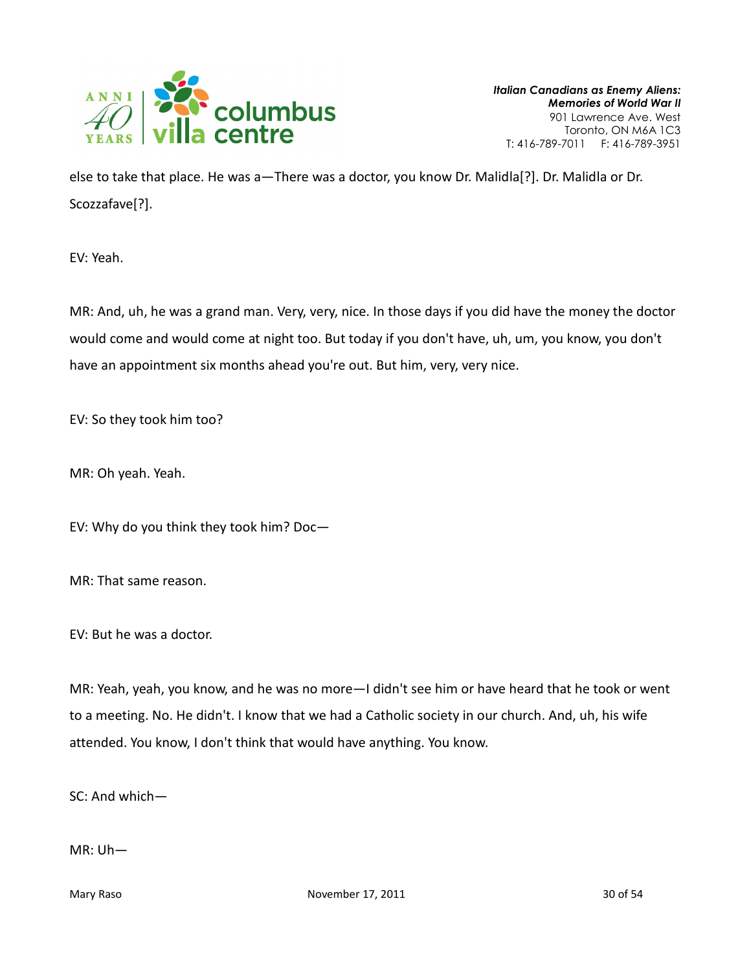

else to take that place. He was a—There was a doctor, you know Dr. Malidla[?]. Dr. Malidla or Dr. Scozzafave[?].

EV: Yeah.

MR: And, uh, he was a grand man. Very, very, nice. In those days if you did have the money the doctor would come and would come at night too. But today if you don't have, uh, um, you know, you don't have an appointment six months ahead you're out. But him, very, very nice.

EV: So they took him too?

MR: Oh yeah. Yeah.

EV: Why do you think they took him? Doc—

MR: That same reason.

EV: But he was a doctor.

MR: Yeah, yeah, you know, and he was no more—I didn't see him or have heard that he took or went to a meeting. No. He didn't. I know that we had a Catholic society in our church. And, uh, his wife attended. You know, I don't think that would have anything. You know.

SC: And which—

MR: Uh—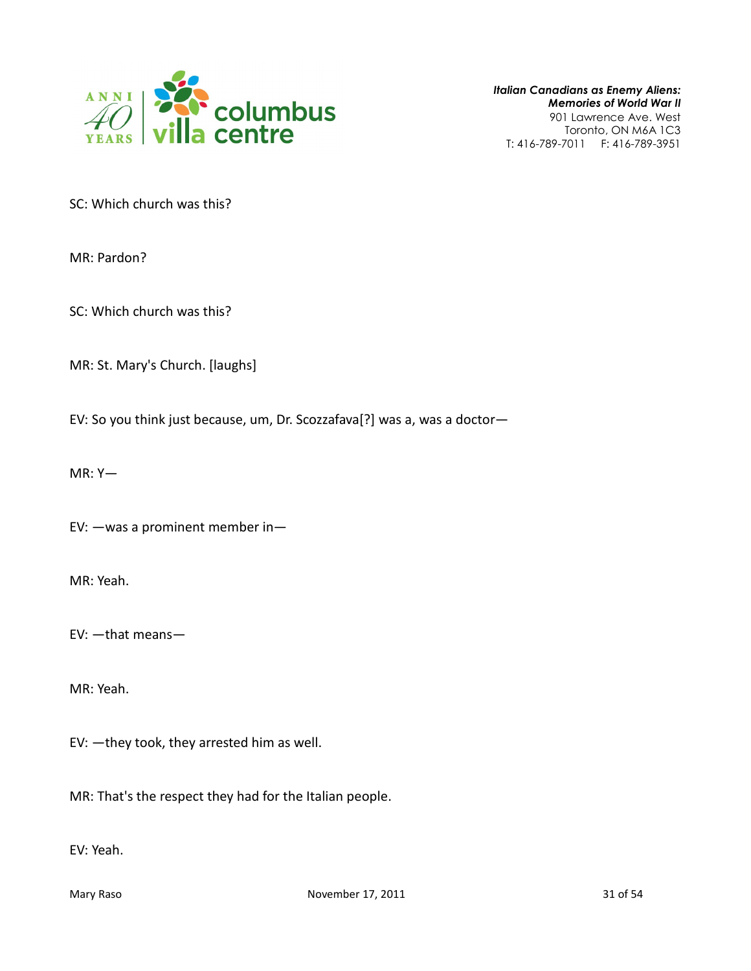

SC: Which church was this?

MR: Pardon?

SC: Which church was this?

MR: St. Mary's Church. [laughs]

EV: So you think just because, um, Dr. Scozzafava[?] was a, was a doctor—

MR: Y—

EV: —was a prominent member in—

MR: Yeah.

EV: —that means—

MR: Yeah.

EV: —they took, they arrested him as well.

MR: That's the respect they had for the Italian people.

EV: Yeah.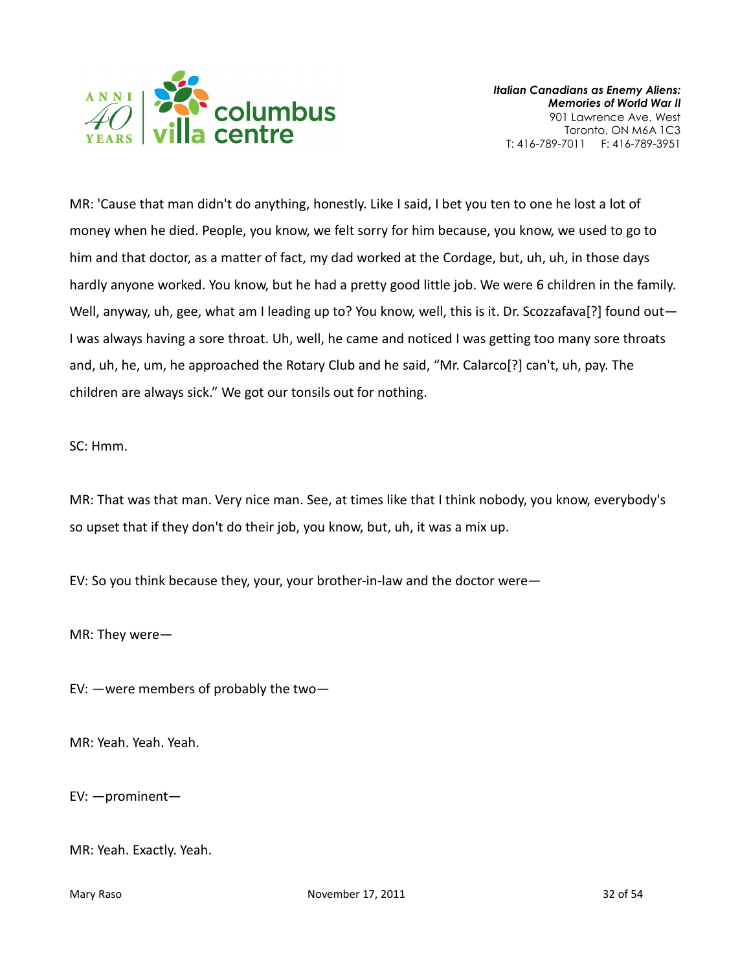

MR: 'Cause that man didn't do anything, honestly. Like I said, I bet you ten to one he lost a lot of money when he died. People, you know, we felt sorry for him because, you know, we used to go to him and that doctor, as a matter of fact, my dad worked at the Cordage, but, uh, uh, in those days hardly anyone worked. You know, but he had a pretty good little job. We were 6 children in the family. Well, anyway, uh, gee, what am I leading up to? You know, well, this is it. Dr. Scozzafava[?] found out— I was always having a sore throat. Uh, well, he came and noticed I was getting too many sore throats and, uh, he, um, he approached the Rotary Club and he said, "Mr. Calarco[?] can't, uh, pay. The children are always sick." We got our tonsils out for nothing.

SC: Hmm.

MR: That was that man. Very nice man. See, at times like that I think nobody, you know, everybody's so upset that if they don't do their job, you know, but, uh, it was a mix up.

EV: So you think because they, your, your brother-in-law and the doctor were—

MR: They were—

EV: —were members of probably the two—

MR: Yeah. Yeah. Yeah.

EV: —prominent—

MR: Yeah. Exactly. Yeah.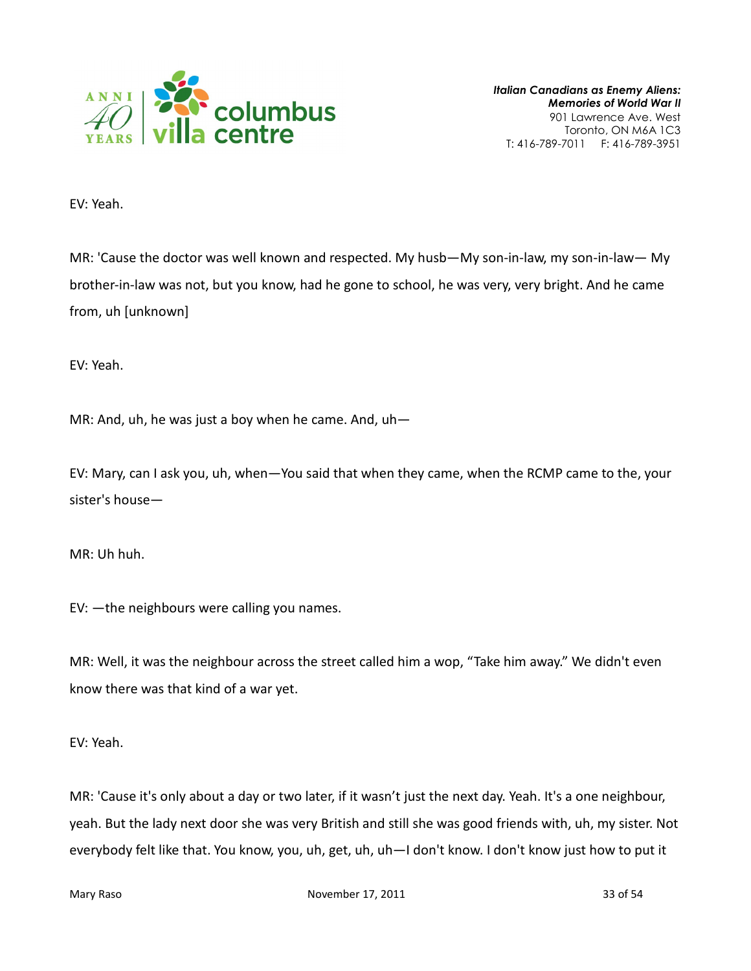

EV: Yeah.

MR: 'Cause the doctor was well known and respected. My husb—My son-in-law, my son-in-law— My brother-in-law was not, but you know, had he gone to school, he was very, very bright. And he came from, uh [unknown]

EV: Yeah.

MR: And, uh, he was just a boy when he came. And,  $uh -$ 

EV: Mary, can I ask you, uh, when—You said that when they came, when the RCMP came to the, your sister's house—

MR: Uh huh.

EV: —the neighbours were calling you names.

MR: Well, it was the neighbour across the street called him a wop, "Take him away." We didn't even know there was that kind of a war yet.

EV: Yeah.

MR: 'Cause it's only about a day or two later, if it wasn't just the next day. Yeah. It's a one neighbour, yeah. But the lady next door she was very British and still she was good friends with, uh, my sister. Not everybody felt like that. You know, you, uh, get, uh, uh—I don't know. I don't know just how to put it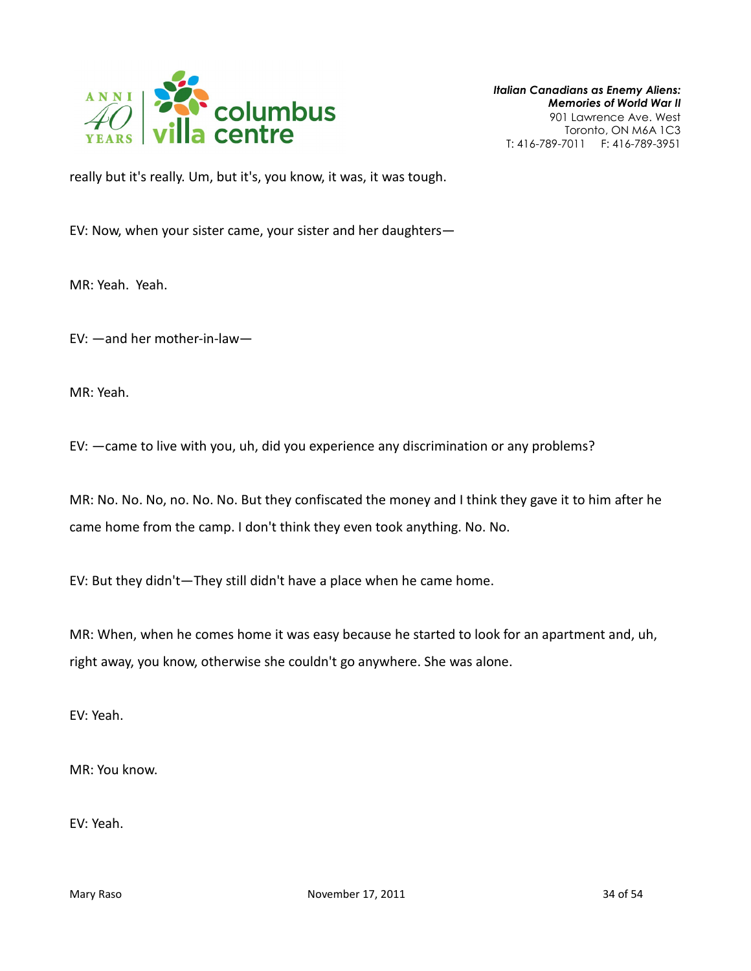

really but it's really. Um, but it's, you know, it was, it was tough.

EV: Now, when your sister came, your sister and her daughters—

MR: Yeah. Yeah.

EV: —and her mother-in-law—

MR: Yeah.

EV: —came to live with you, uh, did you experience any discrimination or any problems?

MR: No. No. No, no. No. No. But they confiscated the money and I think they gave it to him after he came home from the camp. I don't think they even took anything. No. No.

EV: But they didn't—They still didn't have a place when he came home.

MR: When, when he comes home it was easy because he started to look for an apartment and, uh, right away, you know, otherwise she couldn't go anywhere. She was alone.

EV: Yeah.

MR: You know.

EV: Yeah.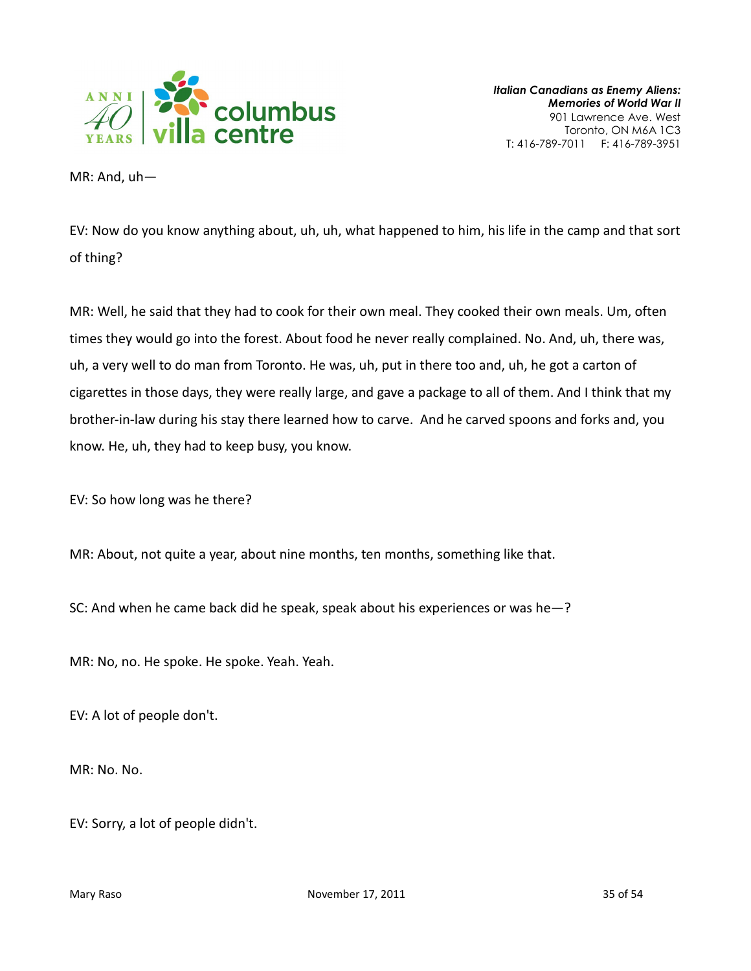

MR: And, uh—

EV: Now do you know anything about, uh, uh, what happened to him, his life in the camp and that sort of thing?

MR: Well, he said that they had to cook for their own meal. They cooked their own meals. Um, often times they would go into the forest. About food he never really complained. No. And, uh, there was, uh, a very well to do man from Toronto. He was, uh, put in there too and, uh, he got a carton of cigarettes in those days, they were really large, and gave a package to all of them. And I think that my brother-in-law during his stay there learned how to carve. And he carved spoons and forks and, you know. He, uh, they had to keep busy, you know.

EV: So how long was he there?

MR: About, not quite a year, about nine months, ten months, something like that.

SC: And when he came back did he speak, speak about his experiences or was he—?

MR: No, no. He spoke. He spoke. Yeah. Yeah.

EV: A lot of people don't.

MR: No. No.

EV: Sorry, a lot of people didn't.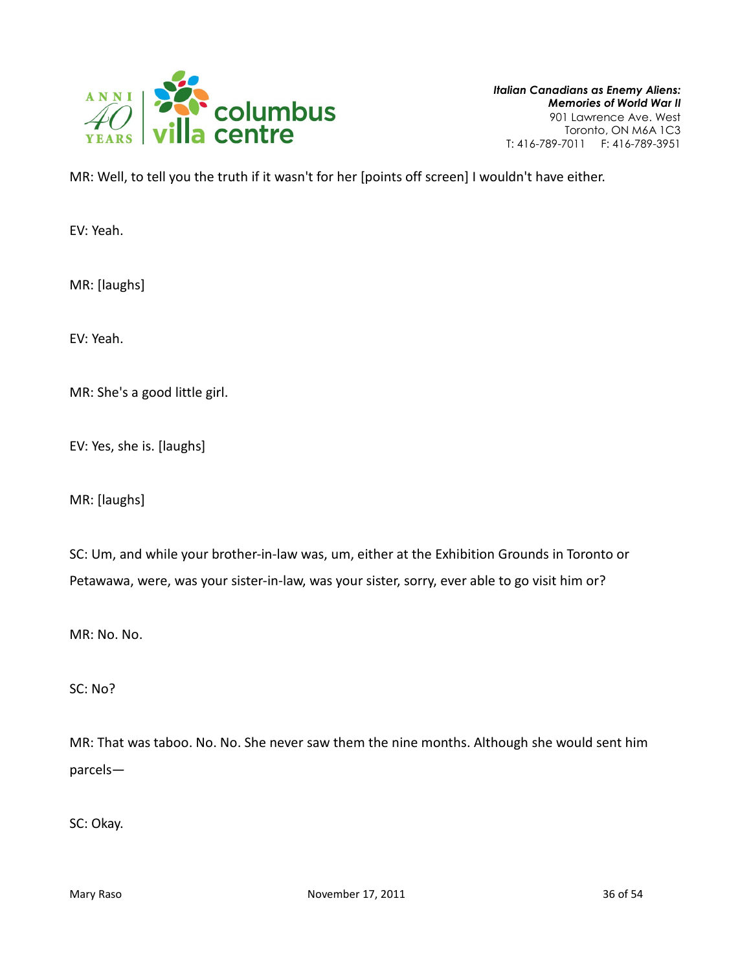

MR: Well, to tell you the truth if it wasn't for her [points off screen] I wouldn't have either.

EV: Yeah.

MR: [laughs]

EV: Yeah.

MR: She's a good little girl.

EV: Yes, she is. [laughs]

MR: [laughs]

SC: Um, and while your brother-in-law was, um, either at the Exhibition Grounds in Toronto or Petawawa, were, was your sister-in-law, was your sister, sorry, ever able to go visit him or?

MR: No. No.

SC: No?

MR: That was taboo. No. No. She never saw them the nine months. Although she would sent him parcels—

SC: Okay.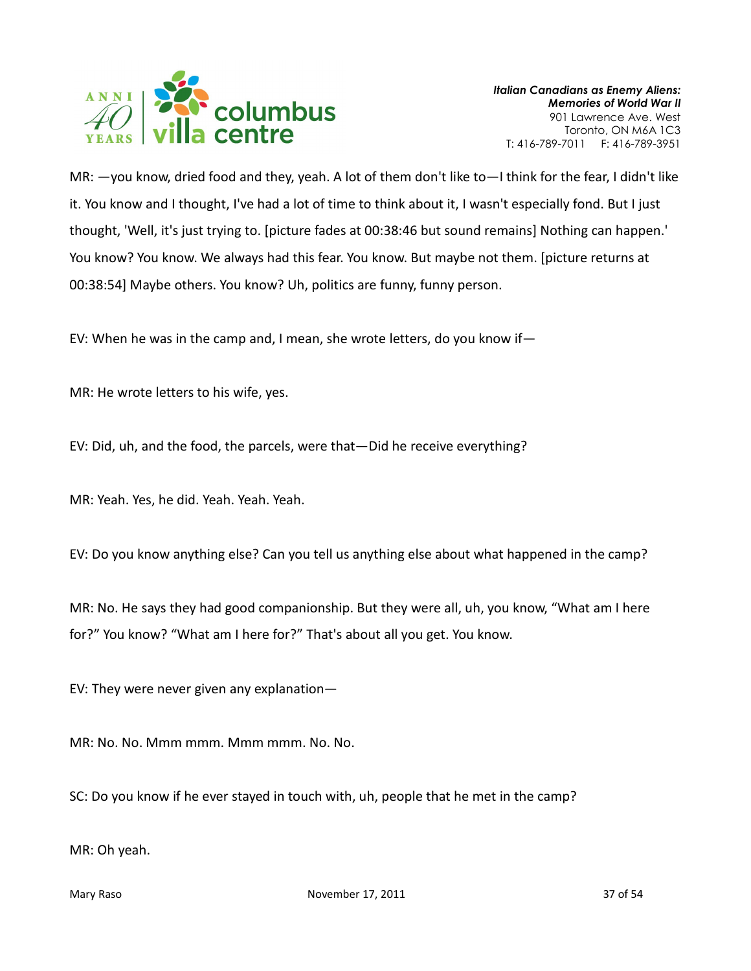

MR: —you know, dried food and they, yeah. A lot of them don't like to—I think for the fear, I didn't like it. You know and I thought, I've had a lot of time to think about it, I wasn't especially fond. But I just thought, 'Well, it's just trying to. [picture fades at 00:38:46 but sound remains] Nothing can happen.' You know? You know. We always had this fear. You know. But maybe not them. [picture returns at 00:38:54] Maybe others. You know? Uh, politics are funny, funny person.

EV: When he was in the camp and, I mean, she wrote letters, do you know if—

MR: He wrote letters to his wife, yes.

EV: Did, uh, and the food, the parcels, were that—Did he receive everything?

MR: Yeah. Yes, he did. Yeah. Yeah. Yeah.

EV: Do you know anything else? Can you tell us anything else about what happened in the camp?

MR: No. He says they had good companionship. But they were all, uh, you know, "What am I here for?" You know? "What am I here for?" That's about all you get. You know.

EV: They were never given any explanation—

MR: No. No. Mmm mmm. Mmm mmm. No. No.

SC: Do you know if he ever stayed in touch with, uh, people that he met in the camp?

MR: Oh yeah.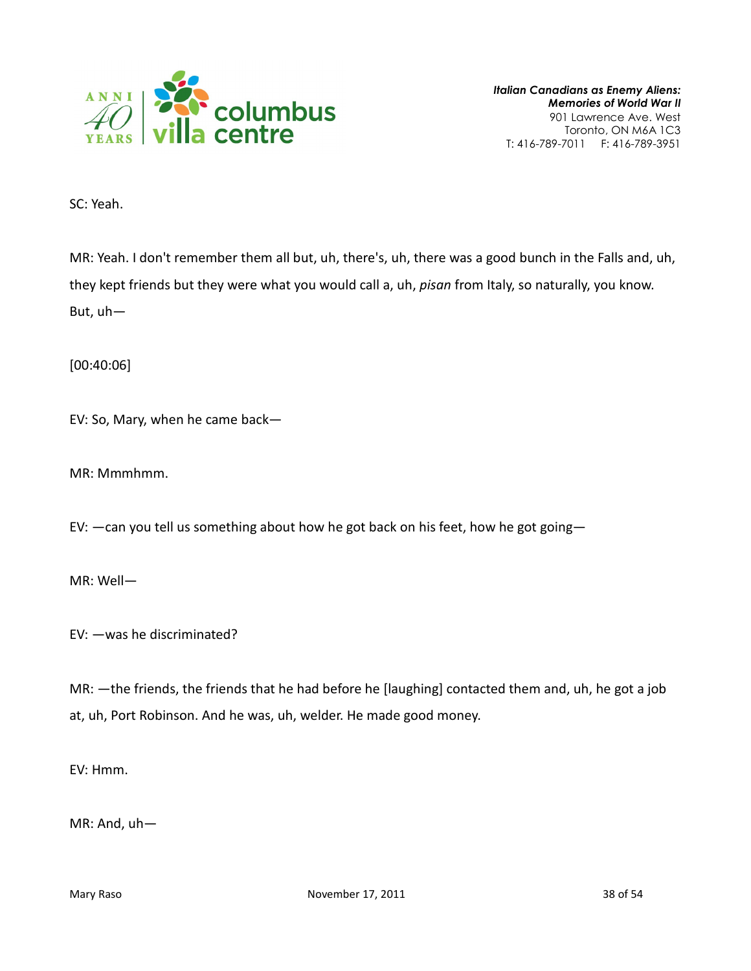

SC: Yeah.

MR: Yeah. I don't remember them all but, uh, there's, uh, there was a good bunch in the Falls and, uh, they kept friends but they were what you would call a, uh, pisan from Italy, so naturally, you know. But, uh—

[00:40:06]

EV: So, Mary, when he came back—

MR: Mmmhmm.

EV: —can you tell us something about how he got back on his feet, how he got going—

MR: Well—

EV: —was he discriminated?

MR: —the friends, the friends that he had before he [laughing] contacted them and, uh, he got a job at, uh, Port Robinson. And he was, uh, welder. He made good money.

EV: Hmm.

MR: And, uh—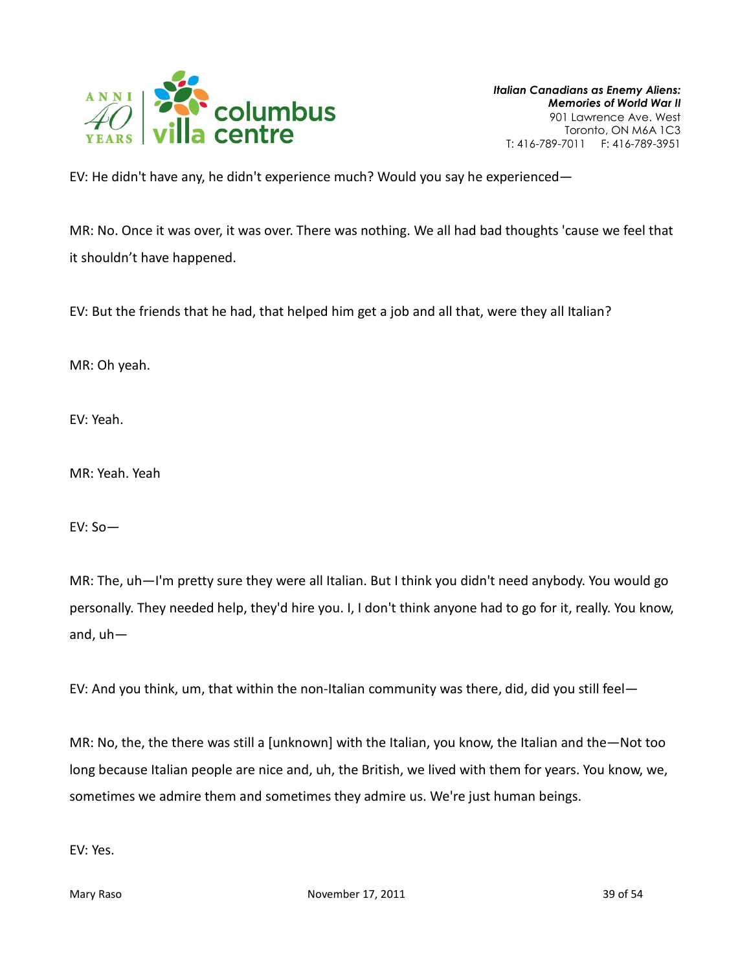

EV: He didn't have any, he didn't experience much? Would you say he experienced—

MR: No. Once it was over, it was over. There was nothing. We all had bad thoughts 'cause we feel that it shouldn't have happened.

EV: But the friends that he had, that helped him get a job and all that, were they all Italian?

MR: Oh yeah.

EV: Yeah.

MR: Yeah. Yeah

EV: So—

MR: The, uh—I'm pretty sure they were all Italian. But I think you didn't need anybody. You would go personally. They needed help, they'd hire you. I, I don't think anyone had to go for it, really. You know, and, uh—

EV: And you think, um, that within the non-Italian community was there, did, did you still feel—

MR: No, the, the there was still a [unknown] with the Italian, you know, the Italian and the—Not too long because Italian people are nice and, uh, the British, we lived with them for years. You know, we, sometimes we admire them and sometimes they admire us. We're just human beings.

EV: Yes.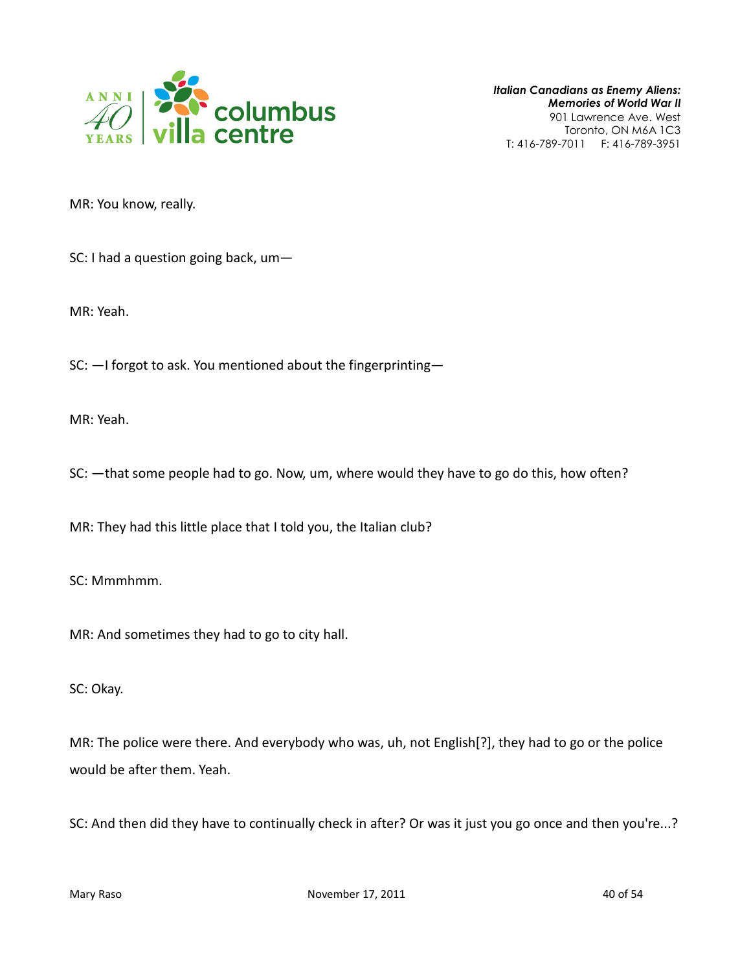

MR: You know, really.

SC: I had a question going back, um—

MR: Yeah.

SC: —I forgot to ask. You mentioned about the fingerprinting—

MR: Yeah.

SC: —that some people had to go. Now, um, where would they have to go do this, how often?

MR: They had this little place that I told you, the Italian club?

SC: Mmmhmm.

MR: And sometimes they had to go to city hall.

SC: Okay.

MR: The police were there. And everybody who was, uh, not English[?], they had to go or the police would be after them. Yeah.

SC: And then did they have to continually check in after? Or was it just you go once and then you're...?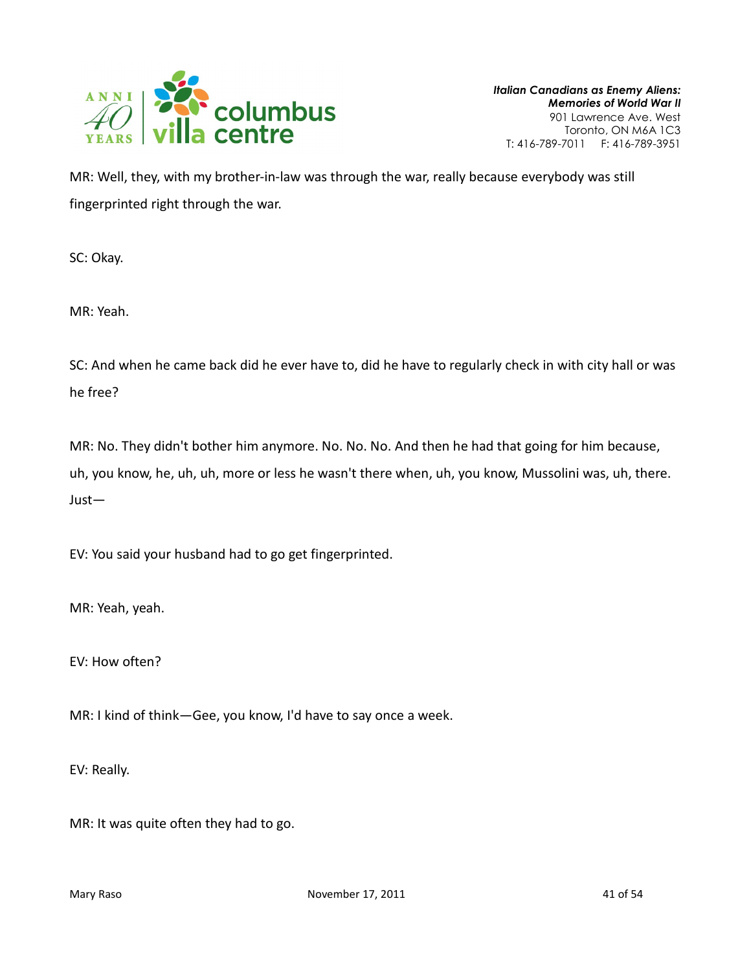

MR: Well, they, with my brother-in-law was through the war, really because everybody was still fingerprinted right through the war.

SC: Okay.

MR: Yeah.

SC: And when he came back did he ever have to, did he have to regularly check in with city hall or was he free?

MR: No. They didn't bother him anymore. No. No. No. And then he had that going for him because, uh, you know, he, uh, uh, more or less he wasn't there when, uh, you know, Mussolini was, uh, there. Just—

EV: You said your husband had to go get fingerprinted.

MR: Yeah, yeah.

EV: How often?

MR: I kind of think—Gee, you know, I'd have to say once a week.

EV: Really.

MR: It was quite often they had to go.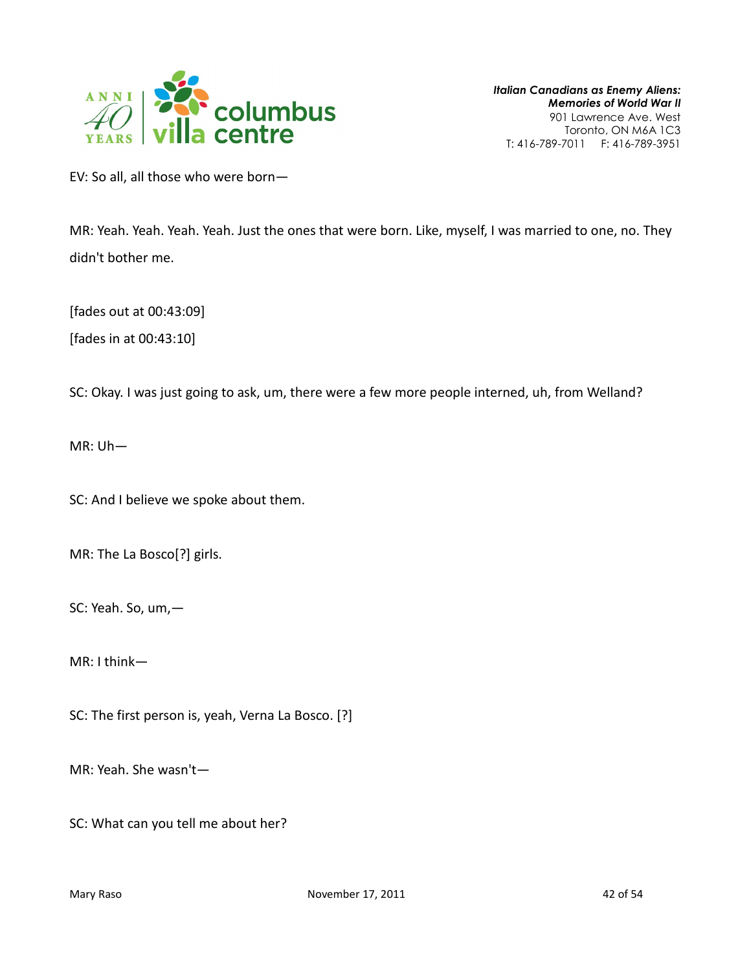

EV: So all, all those who were born—

MR: Yeah. Yeah. Yeah. Yeah. Just the ones that were born. Like, myself, I was married to one, no. They didn't bother me.

[fades out at 00:43:09] [fades in at 00:43:10]

SC: Okay. I was just going to ask, um, there were a few more people interned, uh, from Welland?

MR: Uh—

SC: And I believe we spoke about them.

MR: The La Bosco[?] girls.

SC: Yeah. So, um,—

MR: I think—

SC: The first person is, yeah, Verna La Bosco. [?]

MR: Yeah. She wasn't—

SC: What can you tell me about her?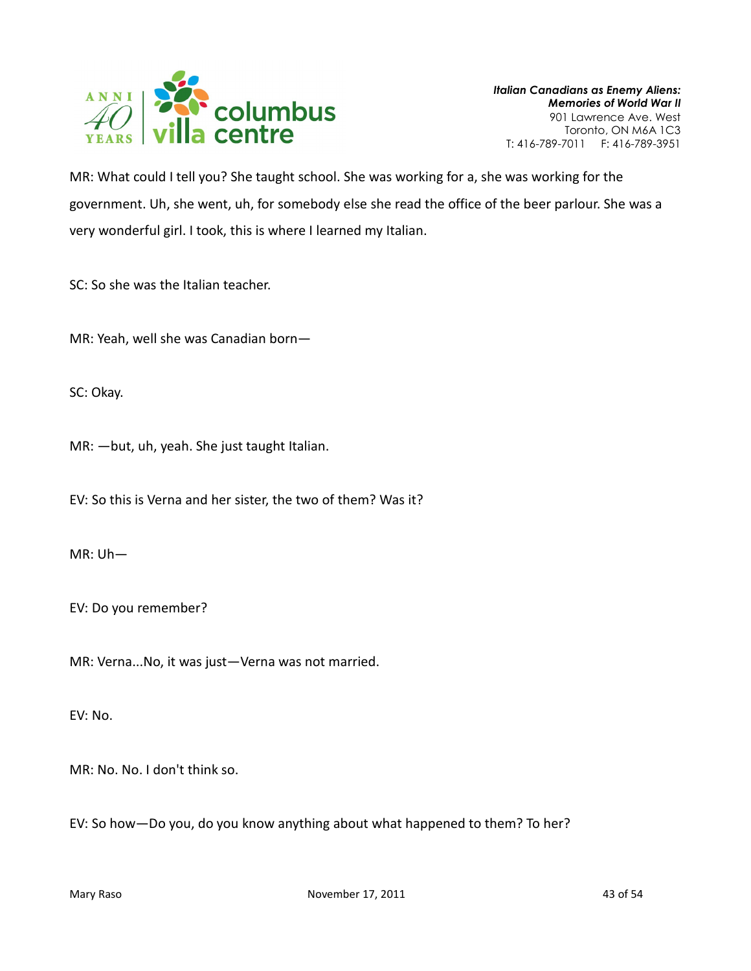

MR: What could I tell you? She taught school. She was working for a, she was working for the government. Uh, she went, uh, for somebody else she read the office of the beer parlour. She was a very wonderful girl. I took, this is where I learned my Italian.

SC: So she was the Italian teacher.

MR: Yeah, well she was Canadian born—

SC: Okay.

MR: —but, uh, yeah. She just taught Italian.

EV: So this is Verna and her sister, the two of them? Was it?

MR: Uh—

EV: Do you remember?

MR: Verna...No, it was just—Verna was not married.

EV: No.

MR: No. No. I don't think so.

EV: So how—Do you, do you know anything about what happened to them? To her?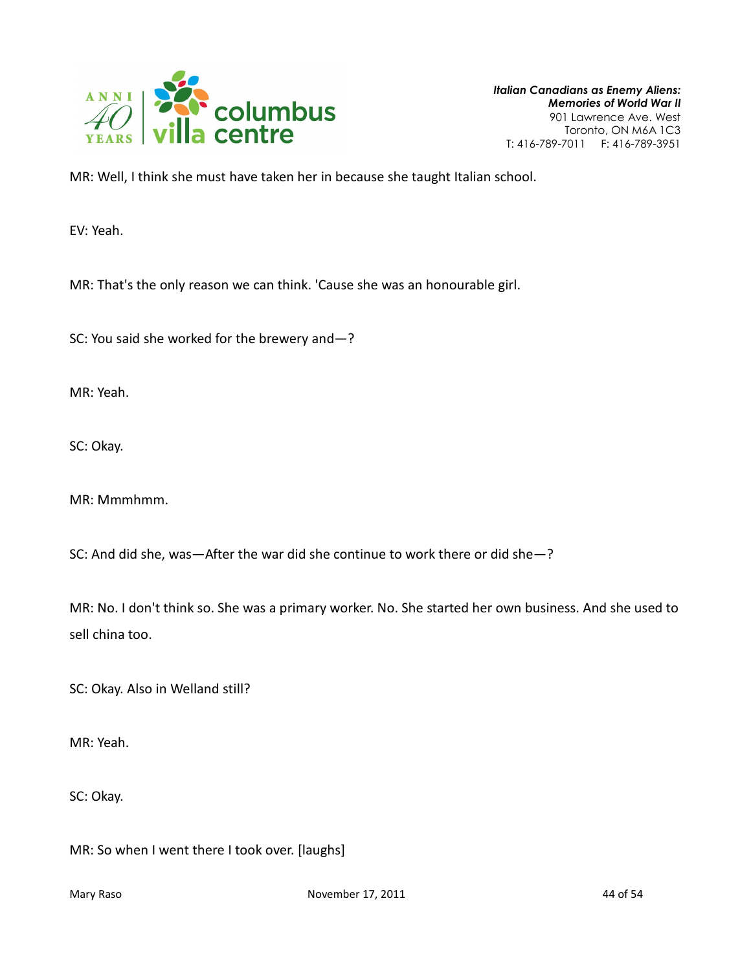

MR: Well, I think she must have taken her in because she taught Italian school.

EV: Yeah.

MR: That's the only reason we can think. 'Cause she was an honourable girl.

SC: You said she worked for the brewery and—?

MR: Yeah.

SC: Okay.

MR: Mmmhmm.

SC: And did she, was—After the war did she continue to work there or did she—?

MR: No. I don't think so. She was a primary worker. No. She started her own business. And she used to sell china too.

SC: Okay. Also in Welland still?

MR: Yeah.

SC: Okay.

MR: So when I went there I took over. [laughs]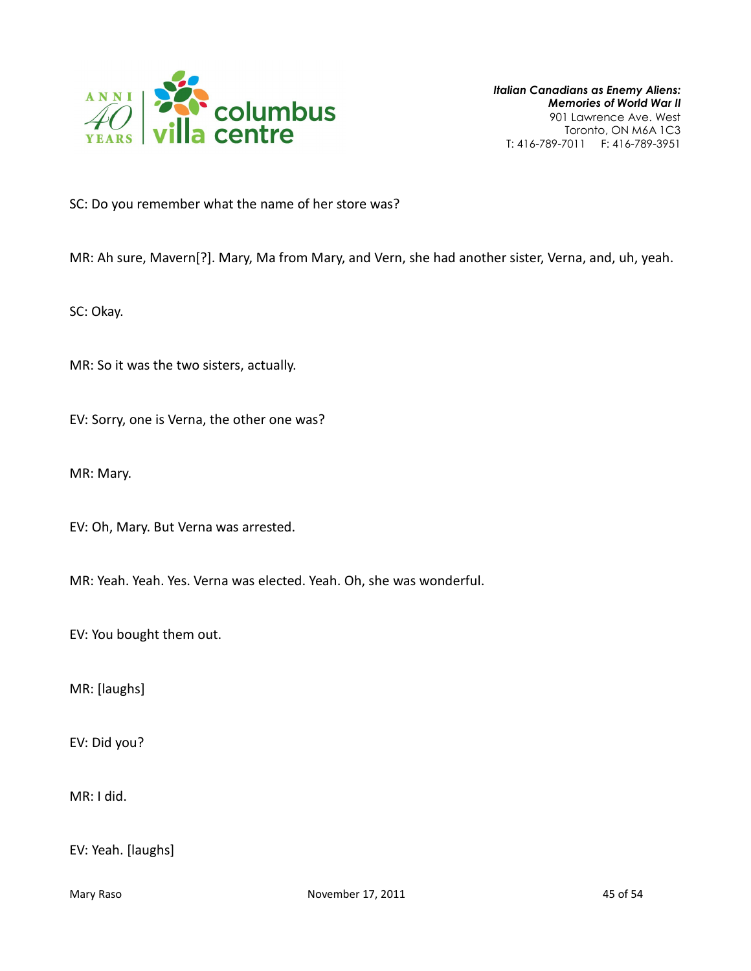

SC: Do you remember what the name of her store was?

MR: Ah sure, Mavern[?]. Mary, Ma from Mary, and Vern, she had another sister, Verna, and, uh, yeah.

SC: Okay.

MR: So it was the two sisters, actually.

EV: Sorry, one is Verna, the other one was?

MR: Mary.

EV: Oh, Mary. But Verna was arrested.

MR: Yeah. Yeah. Yes. Verna was elected. Yeah. Oh, she was wonderful.

EV: You bought them out.

MR: [laughs]

EV: Did you?

MR: I did.

EV: Yeah. [laughs]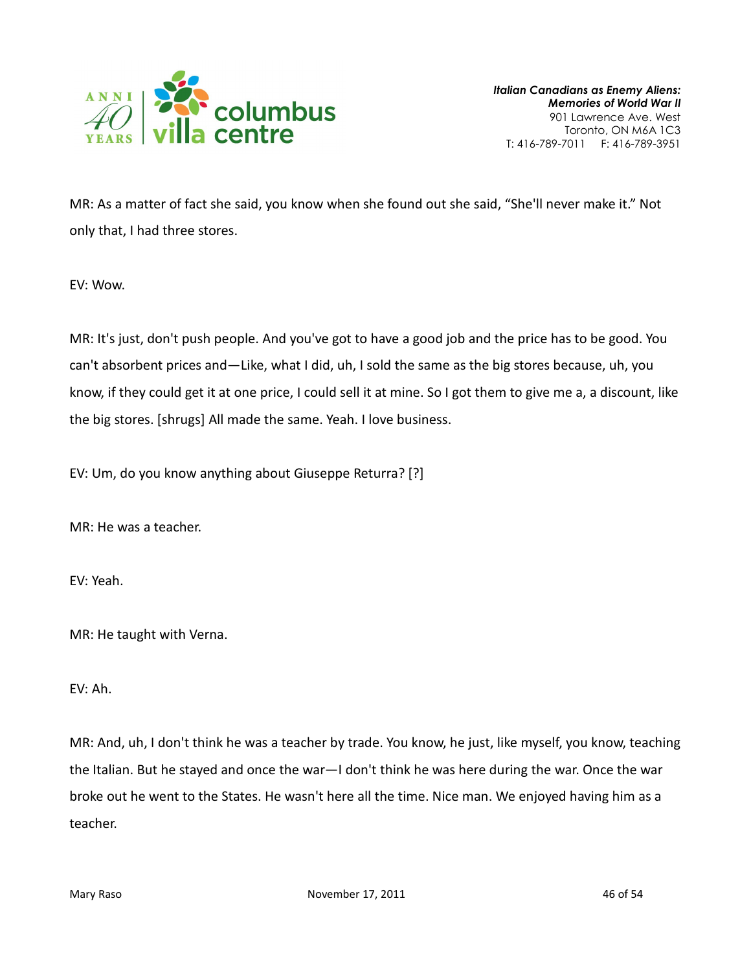

MR: As a matter of fact she said, you know when she found out she said, "She'll never make it." Not only that, I had three stores.

EV: Wow.

MR: It's just, don't push people. And you've got to have a good job and the price has to be good. You can't absorbent prices and—Like, what I did, uh, I sold the same as the big stores because, uh, you know, if they could get it at one price, I could sell it at mine. So I got them to give me a, a discount, like the big stores. [shrugs] All made the same. Yeah. I love business.

EV: Um, do you know anything about Giuseppe Returra? [?]

MR: He was a teacher.

EV: Yeah.

MR: He taught with Verna.

EV: Ah.

MR: And, uh, I don't think he was a teacher by trade. You know, he just, like myself, you know, teaching the Italian. But he stayed and once the war—I don't think he was here during the war. Once the war broke out he went to the States. He wasn't here all the time. Nice man. We enjoyed having him as a teacher.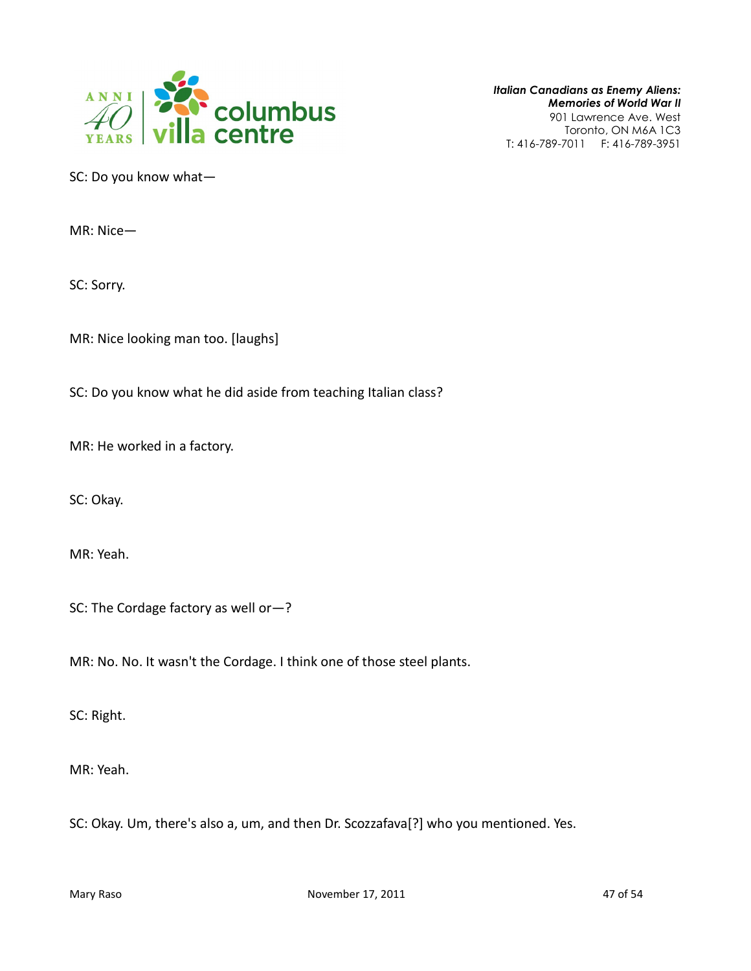

SC: Do you know what—

MR: Nice—

SC: Sorry.

MR: Nice looking man too. [laughs]

SC: Do you know what he did aside from teaching Italian class?

MR: He worked in a factory.

SC: Okay.

MR: Yeah.

SC: The Cordage factory as well or—?

MR: No. No. It wasn't the Cordage. I think one of those steel plants.

SC: Right.

MR: Yeah.

SC: Okay. Um, there's also a, um, and then Dr. Scozzafava[?] who you mentioned. Yes.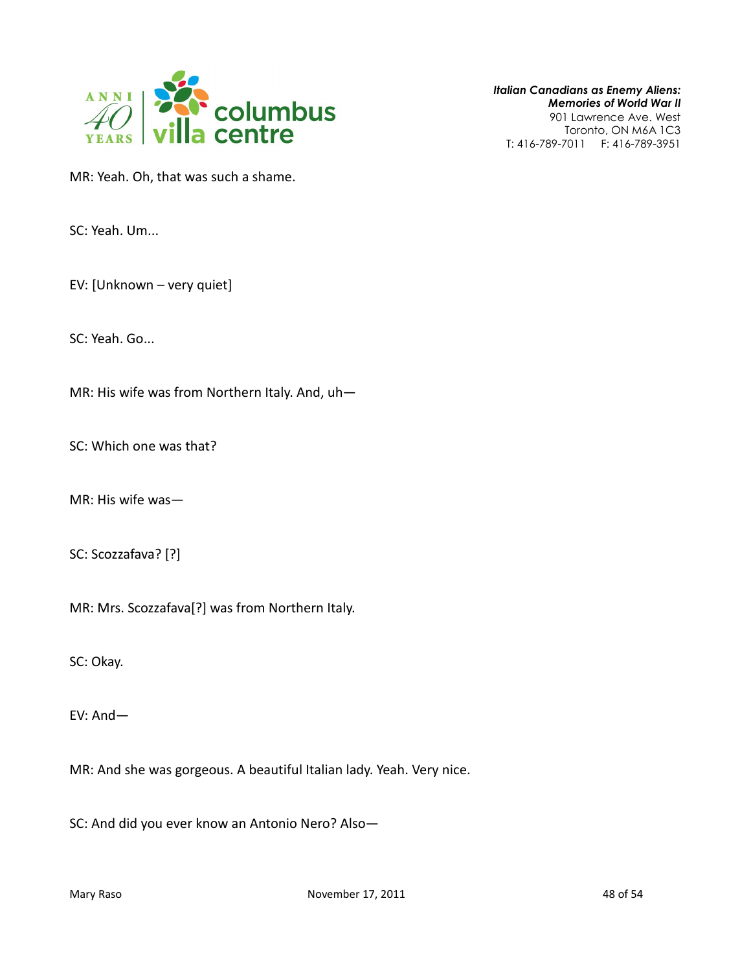

Italian Canadians as Enemy Aliens: Memories of World War II 901 Lawrence Ave. West

Toronto, ON M6A 1C3 T: 416-789-7011 F: 416-789-3951

MR: Yeah. Oh, that was such a shame.

SC: Yeah. Um...

EV: [Unknown – very quiet]

SC: Yeah. Go...

MR: His wife was from Northern Italy. And, uh—

SC: Which one was that?

MR: His wife was—

SC: Scozzafava? [?]

MR: Mrs. Scozzafava[?] was from Northern Italy.

SC: Okay.

EV: And—

MR: And she was gorgeous. A beautiful Italian lady. Yeah. Very nice.

SC: And did you ever know an Antonio Nero? Also—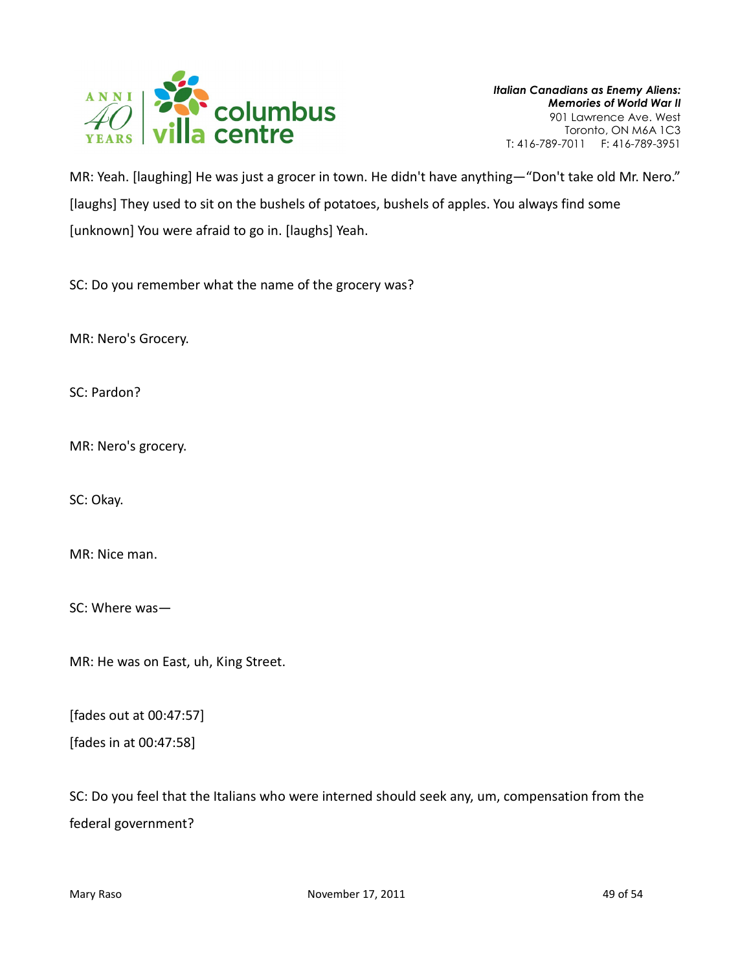

MR: Yeah. [laughing] He was just a grocer in town. He didn't have anything—"Don't take old Mr. Nero." [laughs] They used to sit on the bushels of potatoes, bushels of apples. You always find some [unknown] You were afraid to go in. [laughs] Yeah.

SC: Do you remember what the name of the grocery was?

MR: Nero's Grocery.

SC: Pardon?

MR: Nero's grocery.

SC: Okay.

MR: Nice man.

SC: Where was—

MR: He was on East, uh, King Street.

[fades out at 00:47:57]

[fades in at 00:47:58]

SC: Do you feel that the Italians who were interned should seek any, um, compensation from the federal government?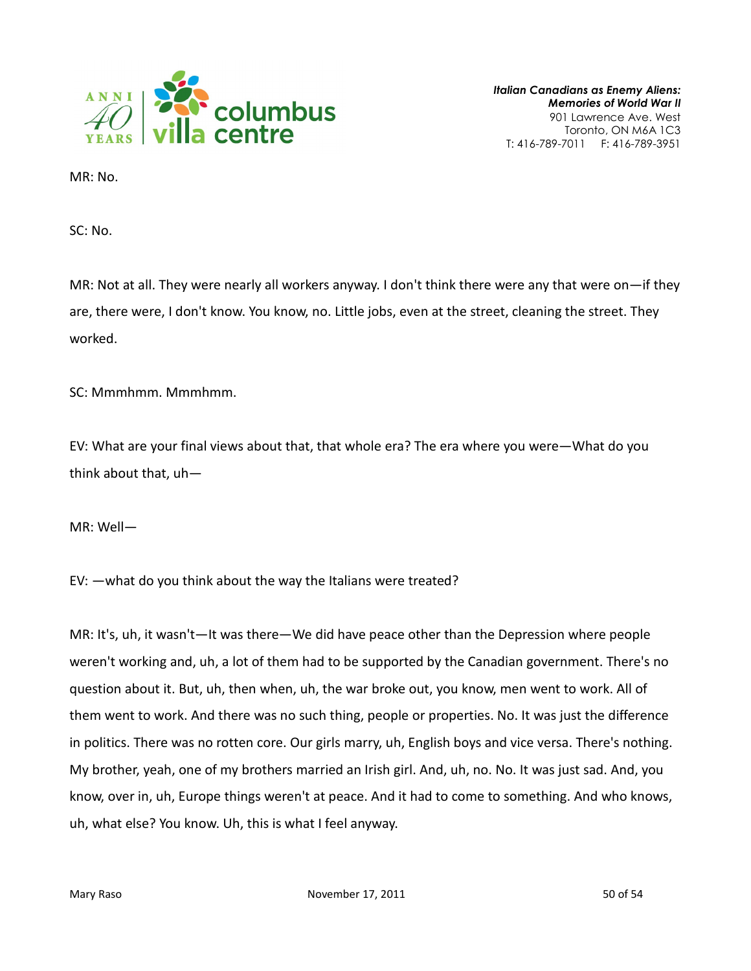

MR: No.

SC: No.

MR: Not at all. They were nearly all workers anyway. I don't think there were any that were on—if they are, there were, I don't know. You know, no. Little jobs, even at the street, cleaning the street. They worked.

SC: Mmmhmm. Mmmhmm.

EV: What are your final views about that, that whole era? The era where you were—What do you think about that, uh—

MR: Well—

EV: —what do you think about the way the Italians were treated?

MR: It's, uh, it wasn't—It was there—We did have peace other than the Depression where people weren't working and, uh, a lot of them had to be supported by the Canadian government. There's no question about it. But, uh, then when, uh, the war broke out, you know, men went to work. All of them went to work. And there was no such thing, people or properties. No. It was just the difference in politics. There was no rotten core. Our girls marry, uh, English boys and vice versa. There's nothing. My brother, yeah, one of my brothers married an Irish girl. And, uh, no. No. It was just sad. And, you know, over in, uh, Europe things weren't at peace. And it had to come to something. And who knows, uh, what else? You know. Uh, this is what I feel anyway.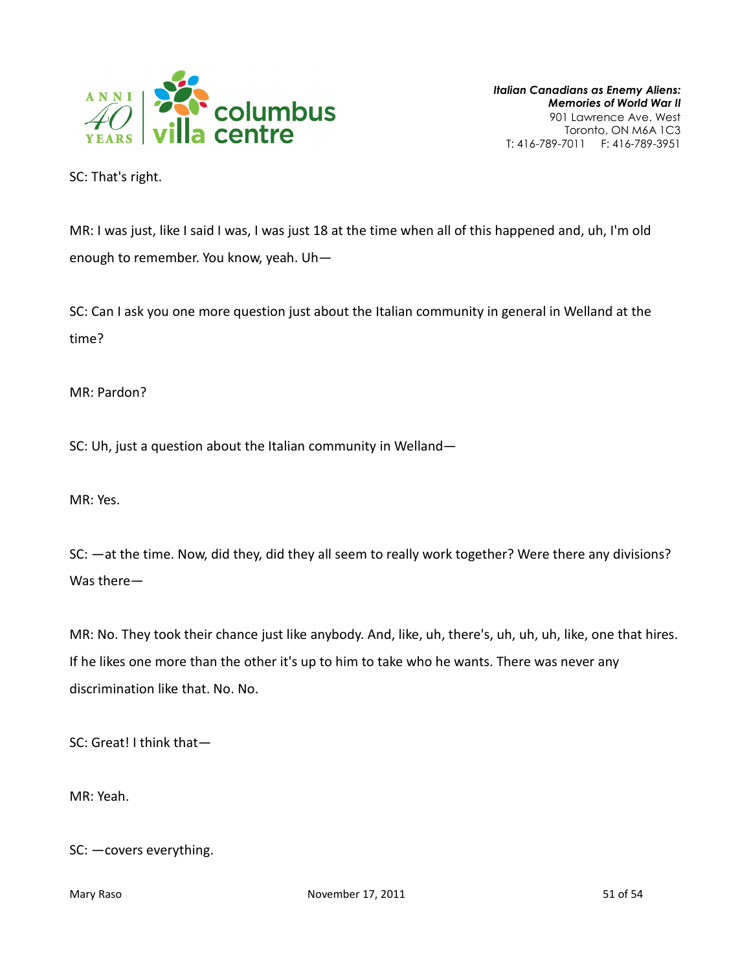

SC: That's right.

MR: I was just, like I said I was, I was just 18 at the time when all of this happened and, uh, I'm old enough to remember. You know, yeah. Uh—

SC: Can I ask you one more question just about the Italian community in general in Welland at the time?

MR: Pardon?

SC: Uh, just a question about the Italian community in Welland—

MR: Yes.

SC: —at the time. Now, did they, did they all seem to really work together? Were there any divisions? Was there—

MR: No. They took their chance just like anybody. And, like, uh, there's, uh, uh, uh, like, one that hires. If he likes one more than the other it's up to him to take who he wants. There was never any discrimination like that. No. No.

SC: Great! I think that—

MR: Yeah.

SC: —covers everything.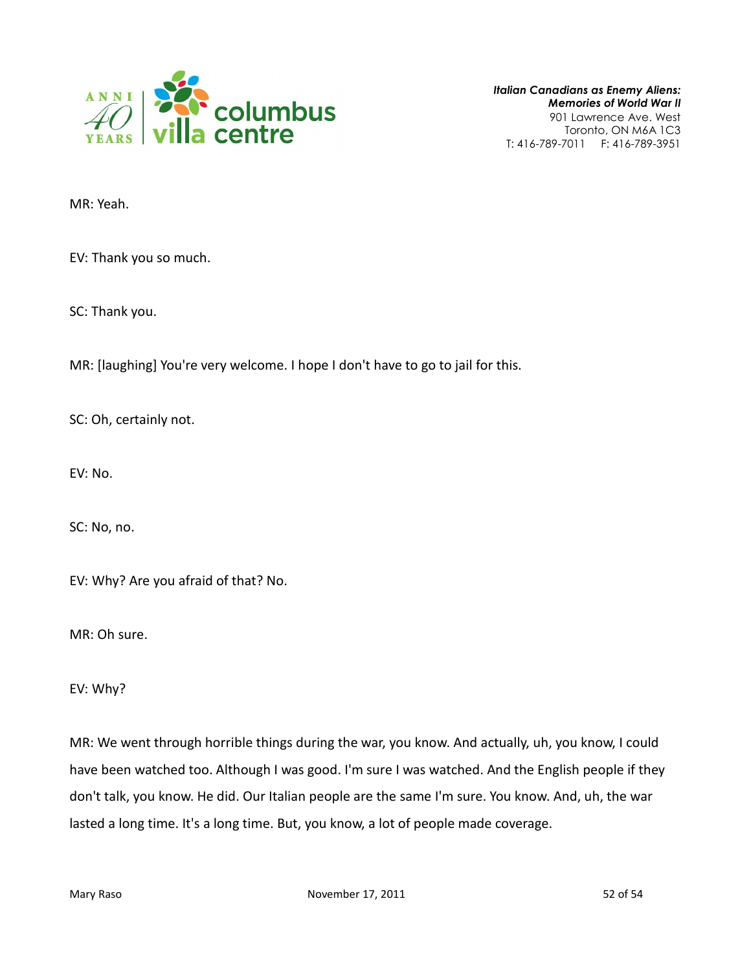

MR: Yeah.

EV: Thank you so much.

SC: Thank you.

MR: [laughing] You're very welcome. I hope I don't have to go to jail for this.

SC: Oh, certainly not.

EV: No.

SC: No, no.

EV: Why? Are you afraid of that? No.

MR: Oh sure.

EV: Why?

MR: We went through horrible things during the war, you know. And actually, uh, you know, I could have been watched too. Although I was good. I'm sure I was watched. And the English people if they don't talk, you know. He did. Our Italian people are the same I'm sure. You know. And, uh, the war lasted a long time. It's a long time. But, you know, a lot of people made coverage.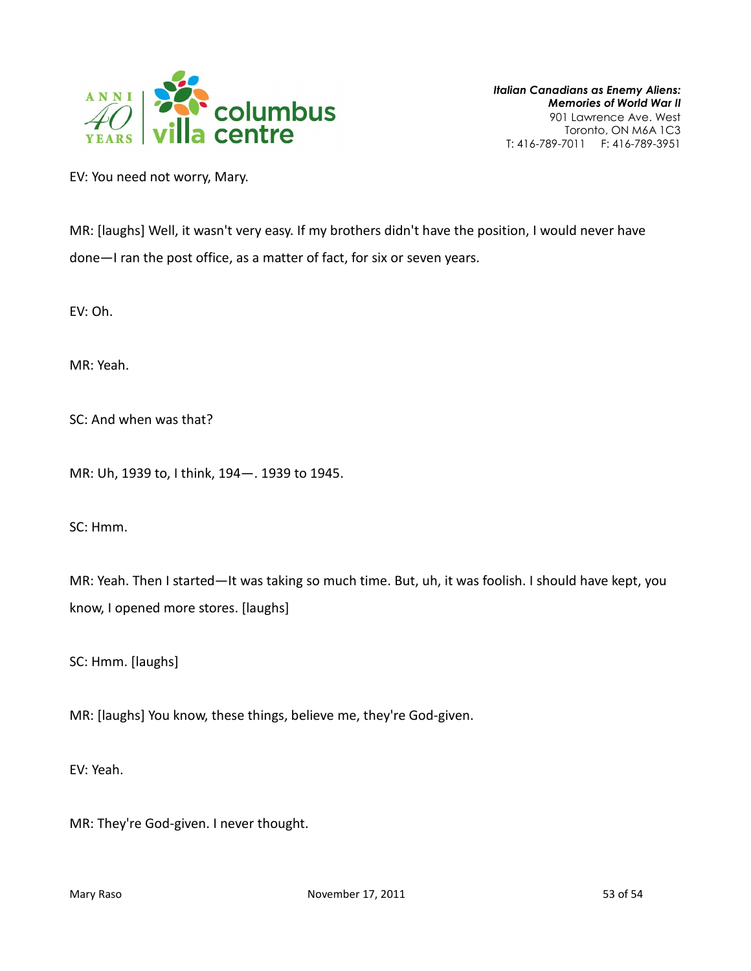

EV: You need not worry, Mary.

MR: [laughs] Well, it wasn't very easy. If my brothers didn't have the position, I would never have done—I ran the post office, as a matter of fact, for six or seven years.

EV: Oh.

MR: Yeah.

SC: And when was that?

MR: Uh, 1939 to, I think, 194—. 1939 to 1945.

SC: Hmm.

MR: Yeah. Then I started—It was taking so much time. But, uh, it was foolish. I should have kept, you know, I opened more stores. [laughs]

SC: Hmm. [laughs]

MR: [laughs] You know, these things, believe me, they're God-given.

EV: Yeah.

MR: They're God-given. I never thought.